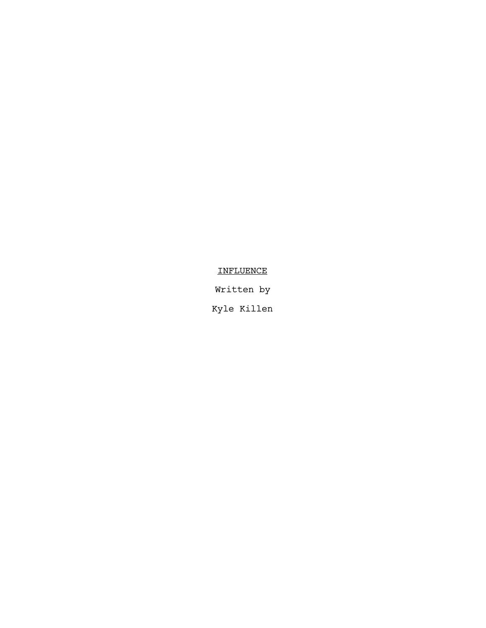# **INFLUENCE**

Written by

Kyle Killen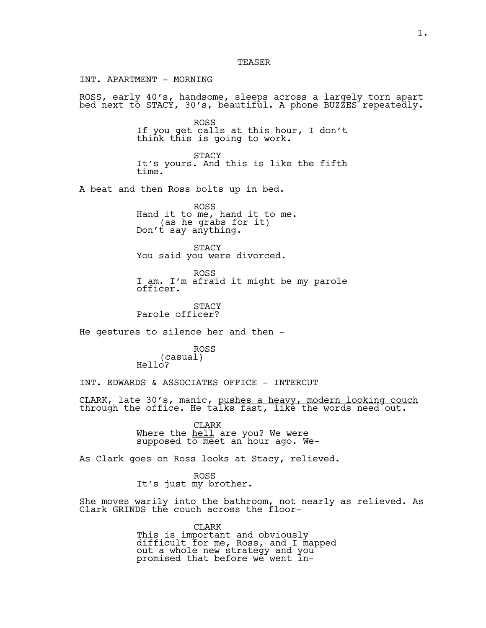## TEASER

INT. APARTMENT - MORNING

ROSS, early 40's, handsome, sleeps across a largely torn apart bed next to STACY, 30's, beautiful. A phone BUZZES repeatedly.

> ROSS If you get calls at this hour, I don't think this is going to work.

STACY It's yours. And this is like the fifth time.

A beat and then Ross bolts up in bed.

ROSS Hand it to me, hand it to me.<br>(as he grabs for it) Don't say anything.

**STACY** You said you were divorced.

ROSS I am. I'm afraid it might be my parole officer.

**STACY** Parole officer?

He gestures to silence her and then -

ROSS (casual) Hello?

INT. EDWARDS & ASSOCIATES OFFICE - INTERCUT

CLARK, late 30's, manic, pushes a heavy, modern looking couch through the office. He talks fast, like the words need out.

CLARK Where the hell are you? We were supposed to meet an hour ago. We-

As Clark goes on Ross looks at Stacy, relieved.

ROSS It's just my brother.

She moves warily into the bathroom, not nearly as relieved. As Clark GRINDS the couch across the floor-

> CLARK This is important and obviously difficult for me, Ross, and I mapped out a whole new strategy and you promised that before we went in-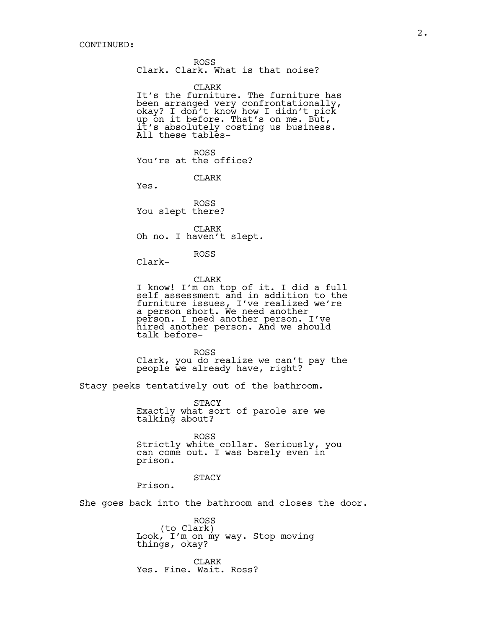ROSS Clark. Clark. What is that noise?

CLARK

It's the furniture. The furniture has been arranged very confrontationally, okay? I don't know how I didn't pick up on it before. That's on me. But, it's absolutely costing us business. All these tables-

ROSS You're at the office?

CLARK

Yes.

ROSS You slept there?

CLARK Oh no. I haven't slept.

ROSS

Clark-

CLARK I know! I'm on top of it. I did a full self assessment and in addition to the furniture issues, I've realized we're a person short. We need another person. I need another person. I've hired another person. And we should hired another person. And we should<br>talk before-

ROSS Clark, you do realize we can't pay the people we already have, right?

Stacy peeks tentatively out of the bathroom.

STACY Exactly what sort of parole are we talking about?

ROSS Strictly white collar. Seriously, you can come out. I was barely even in prison.

STACY

Prison.

She goes back into the bathroom and closes the door.

ROSS<br>(to Clark) Look, I'm on my way. Stop moving things, okay?

CLARK Yes. Fine. Wait. Ross?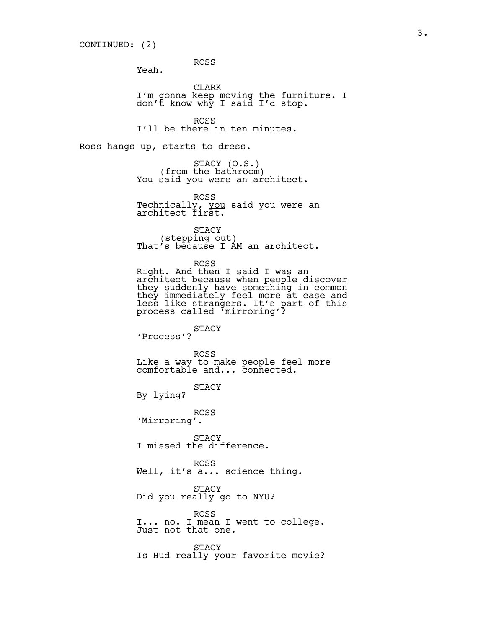ROSS

Yeah.

CLARK I'm gonna keep moving the furniture. I don't know why I said I'd stop.

ROSS I'll be there in ten minutes.

Ross hangs up, starts to dress.

STACY (O.S.)<br>(from the bathroom) (from the bathroom)<br>You said you were an architect.

ROSS Technically, you said you were an architect first.

STACY<br>(stepping out) That's because I  $\underline{AM}$  an architect.

ROSS Right. And then I said I was an architect because when people discover they suddenly have something in common they immediately feel more at ease and less like strangers. It's part of this process called 'mirroring'?

STACY 'Process'?

ROSS Like a way to make people feel more comfortable and... connected.

STACY

By lying?

ROSS 'Mirroring'.

**STACY** I missed the difference.

ROSS Well, it's a... science thing.

STACY Did you really go to NYU?

ROSS I... no. I mean I went to college. Just not that one.

STACY Is Hud really your favorite movie?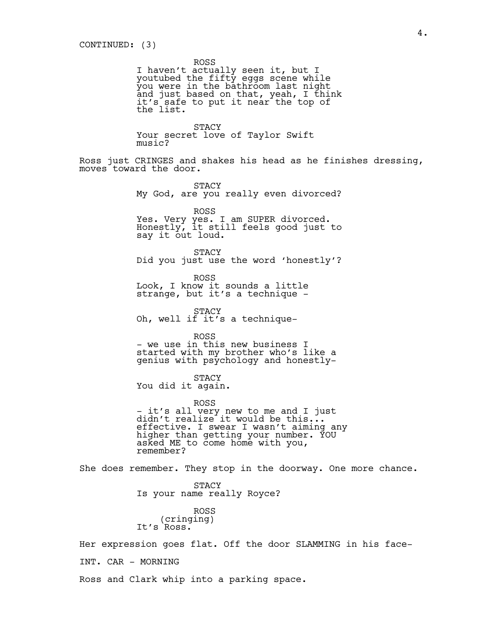ROSS

I haven't actually seen it, but I youtubed the fifty eggs scene while you were in the bathroom last night and just based on that, yeah, I think it's safe to put it near the top of the list.

STACY Your secret love of Taylor Swift music?

Ross just CRINGES and shakes his head as he finishes dressing, moves toward the door.

> **STACY** My God, are you really even divorced?

> > ROSS

Yes. Very yes. I am SUPER divorced. Honestly, it still feels good just to say it out loud.

STACY Did you just use the word 'honestly'?

ROSS Look, I know it sounds a little strange, but it's a technique -

STACY Oh, well if it's a technique-

ROSS - we use in this new business I started with my brother who's like a genius with psychology and honestly-

STACY You did it again.

ROSS - it's all very new to me and I just didn't realize it would be this... effective. I swear I wasn't aiming any higher than getting your number. YOU asked ME to come home with you, remember?

She does remember. They stop in the doorway. One more chance.

STACY Is your name really Royce?

ROSS (cringing) It's Ross.

Her expression goes flat. Off the door SLAMMING in his face-INT. CAR - MORNING

Ross and Clark whip into a parking space.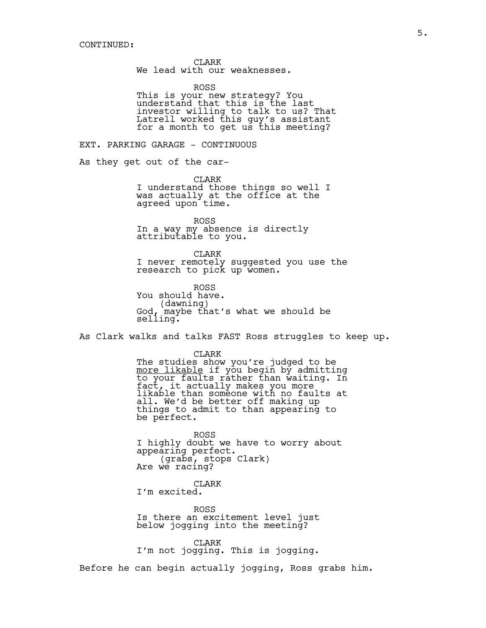CLARK We lead with our weaknesses.

ROSS This is your new strategy? You understand that this is the last investor willing to talk to us? That Latrell worked this guy's assistant for a month to get us this meeting?

EXT. PARKING GARAGE - CONTINUOUS

As they get out of the car-

CLARK I understand those things so well I was actually at the office at the agreed upon time.

ROSS In a way my absence is directly attributable to you.

CLARK I never remotely suggested you use the research to pick up women.

ROSS You should have. (dawning) God, maybe that's what we should be selling.

As Clark walks and talks FAST Ross struggles to keep up.

CLARK The studies show you're judged to be more likable if you begin by admitting<br>to your faults rather than waiting. In fact, it actually makes you more likable than someone with no faults at all. We'd be better off making up things to admit to than appearing to be perfect.

ROSS I highly doubt we have to worry about appearing perfect. (grabs, stops Clark) Are we racing?

CLARK I'm excited.

ROSS Is there an excitement level just below jogging into the meeting?

CLARK I'm not jogging. This is jogging.

Before he can begin actually jogging, Ross grabs him.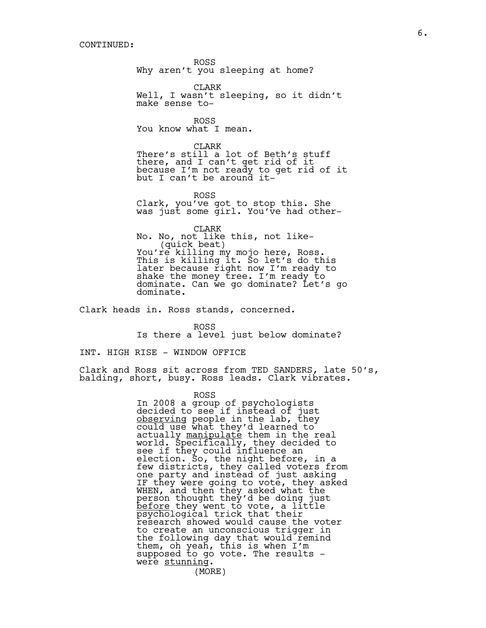ROSS Why aren't you sleeping at home?

CLARK Well, I wasn't sleeping, so it didn't make sense to-

ROSS You know what I mean.

CLARK There's still a lot of Beth's stuff there, and I can't get rid of it because I'm not ready to get rid of it but I can't be around it-

ROSS

Clark, you've got to stop this. She was just some girl. You've had other-

CLARK No. No, not like this, not like- You're killing my mojo here, Ross. This is killing it. So let's do this later because right now I'm ready to shake the money tree. I'm ready to dominate. Can we go dominate? Let's go dominate.

Clark heads in. Ross stands, concerned.

ROSS Is there a level just below dominate?

INT. HIGH RISE - WINDOW OFFICE

Clark and Ross sit across from TED SANDERS, late 50's, balding, short, busy. Ross leads. Clark vibrates.

ROSS

In 2008 a group of psychologists decided to see if instead of just observing people in the lab, they could use what they'd learned to actually <u>manipulate</u> them in the real world. Specifically, they decided to see if they could influence an election. So, the night before, in a few districts, they called voters from one party and instead of just asking IF they were going to vote, they asked WHEN, and then they asked what the person thought they'd be doing just <u>before</u> they went to vote, a little<br>psychological trick that their research showed would cause the voter to create an unconscious trigger in the following day that would remind them, oh yeah, this is when I'm supposed to go vote. The results were stunning. (MORE)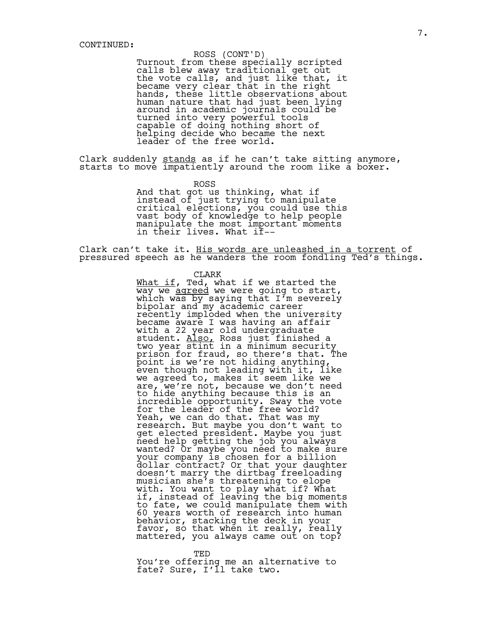## ROSS (CONT'D)

Turnout from these specially scripted calls blew away traditional get out the vote calls, and just like that, it became very clear that in the right hands, these little observations about human nature that had just been lying around in academic journals could be turned into very powerful tools capable of doing nothing short of helping decide who became the next leader of the free world.

Clark suddenly stands as if he can't take sitting anymore, starts to move impatiently around the room like a boxer.

ROSS

And that got us thinking, what if instead of just trying to manipulate critical elections, you could use this vast body of knowledge to help people manipulate the most important moments in their lives. What if--

Clark can't take it. His words are unleashed in a torrent of pressured speech as he wanders the room fondling Ted's things.

#### CLARK

What if, Ted, what if we started the<br>way we agreed we were going to start, which was by saying that  $I<sup>r</sup>$ m severely bipolar and my academic career recently imploded when the university became aware I was having an affair with a 22 year old undergraduate student. <u>Also,</u> Ross just finished a<br>two year stint in a minimum security prison for fraud, so there's that. The point is we're not hiding anything, even though not leading with it, like we agreed to, makes it seem like we are, we're not, because we don't need to hide anything because this is an incredible opportunity. Sway the vote for the leader of the free world? Yeah, we can do that. That was my research. But maybe you don't want to get elected president. Maybe you just need help getting the job you always wanted? Or maybe you need to make sure your company is chosen for a billion dollar contract? Or that your daughter doesn't marry the dirtbag freeloading musician she's threatening to elope with. You want to play what if? What if, instead of leaving the big moments to fate, we could manipulate them with 60 years worth of research into human behavior, stacking the deck in your favor, so that when it really, really mattered, you always came out on top?

TED You're offering me an alternative to fate? Sure, I'll take two.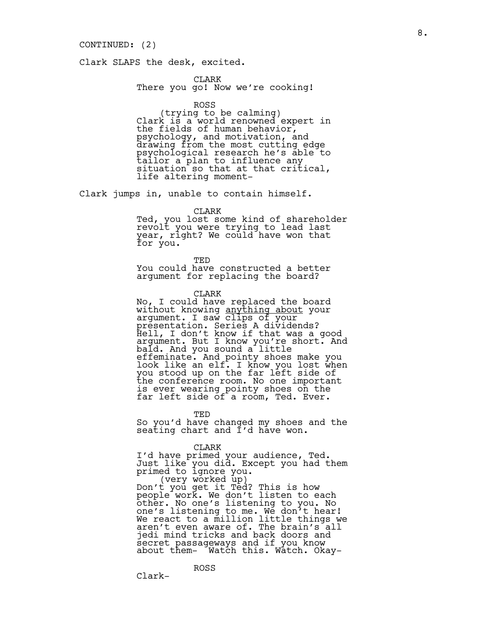## CONTINUED: (2)

Clark SLAPS the desk, excited.

CLARK There you go! Now we're cooking!

ROSS<br>(trying to be calming) (trying to be calming) Clark is a world renowned expert in the fields of human behavior, psychology, and motivation, and drawing from the most cutting edge psychological research he's able to tailor a plan to influence any situation so that at that critical, life altering moment-

Clark jumps in, unable to contain himself.

CLARK

Ted, you lost some kind of shareholder revolt you were trying to lead last year, right? We could have won that for you.

TED

You could have constructed a better argument for replacing the board?

CLARK

No, I could have replaced the board<br>without knowing <u>anything about</u> your without knowing <u>anything about</u> your<br>argument. I saw clips of your presentation. Series A dividends? Hell, I don't know if that was a good argument. But I know you're short. And bald. And you sound a little effeminate. And pointy shoes make you look like an elf. I know you lost when you stood up on the far left side of the conference room. No one important is ever wearing pointy shoes on the far left side of a room, Ted. Ever.

TED

So you'd have changed my shoes and the seating chart and I'd have won.

CLARK

ROSS

I'd have primed your audience, Ted. Just like you did. Except you had them primed to ignore you. (very worked up) Don't you get it Ted? This is how

people work. We don't listen to each other. No one's listening to you. No one's listening to me. We don't hear! We react to a million little things we aren't even aware of. The brain's all jedi mind tricks and back doors and secret passageways and if you know about them- Watch this. Watch. Okay-

Clark-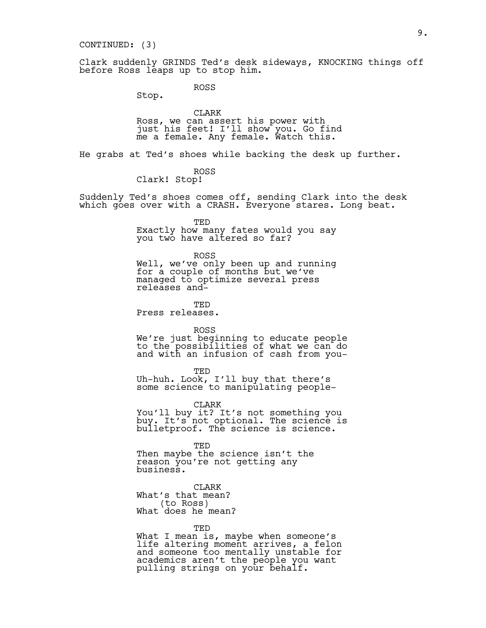## CONTINUED: (3)

Clark suddenly GRINDS Ted's desk sideways, KNOCKING things off before Ross leaps up to stop him.

ROSS

Stop.

CLARK Ross, we can assert his power with just his feet! I'll show you. Go find me a female. Any female. Watch this.

He grabs at Ted's shoes while backing the desk up further.

ROSS Clark! Stop!

Suddenly Ted's shoes comes off, sending Clark into the desk which goes over with a CRASH. Everyone stares. Long beat.

TED

Exactly how many fates would you say you two have altered so far?

ROSS Well, we've only been up and running for a couple of months but we've managed to optimize several press releases and-

**TED** Press releases.

ROSS

We're just beginning to educate people to the possibilities of what we can do and with an infusion of cash from you-

TED Uh-huh. Look, I'll buy that there's some science to manipulating people-

CLARK

You'll buy it? It's not something you buy. It's not optional. The science is bulletproof. The science is science.

TED Then maybe the science isn't the reason you're not getting any business.

CLARK What's that mean? (to Ross) What does he mean?

TED

What I mean is, maybe when someone's life altering moment arrives, a felon and someone too mentally unstable for academics aren't the people you want pulling strings on your behalf.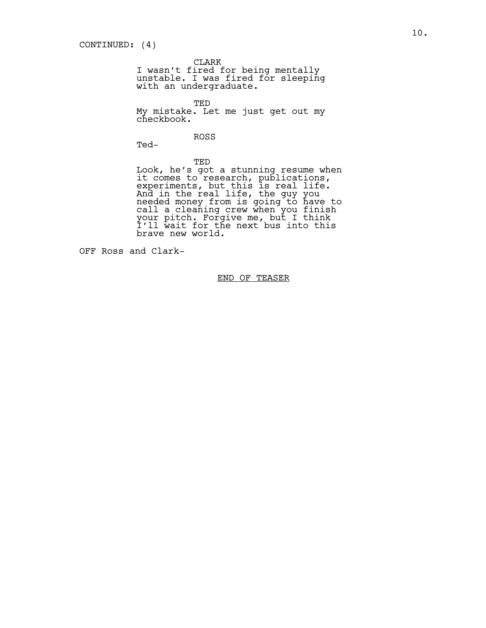CLARK

I wasn't fired for being mentally unstable. I was fired for sleeping with an undergraduate.

TED My mistake. Let me just get out my checkbook.

ROSS

Ted-

TED Look, he's got a stunning resume when it comes to research, publications, experiments, but this is real life. And in the real life, the guy you needed money from is going to have to call a cleaning crew when you finish your pitch. Forgive me, but I think I'll wait for the next bus into this brave new world.

OFF Ross and Clark-

END OF TEASER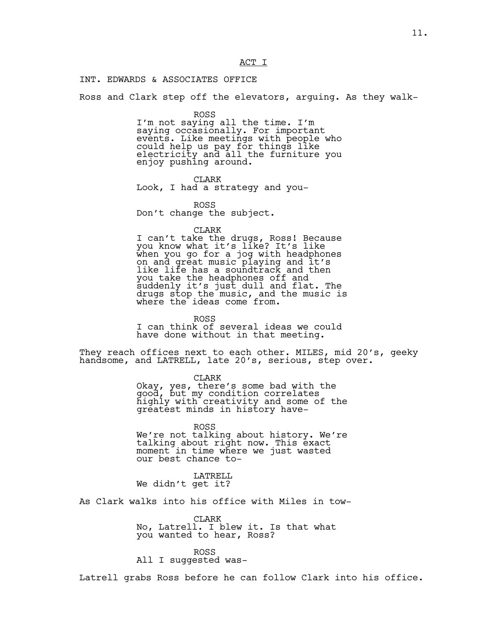## ACT I

INT. EDWARDS & ASSOCIATES OFFICE

Ross and Clark step off the elevators, arguing. As they walk-

## ROSS

I'm not saying all the time. I'm saying occasionally. For important events. Like meetings with people who could help us pay for things like electricity and all the furniture you enjoy pushing around.

## CLARK

Look, I had a strategy and you-

ROSS Don't change the subject.

### CLARK

I can't take the drugs, Ross! Because you know what it's like? It's like when you go for a jog with headphones on and great music playing and it's like life has a soundtrack and then you take the headphones off and suddenly it's just dull and flat. The drugs stop the music, and the music is where the ideas come from.

ROSS I can think of several ideas we could have done without in that meeting.

They reach offices next to each other. MILES, mid 20's, geeky handsome, and LATRELL, late 20's, serious, step over.

CLARK

Okay, yes, there's some bad with the good, but my condition correlates highly with creativity and some of the greatest minds in history have-

ROSS We're not talking about history. We're talking about right now. This exact moment in time where we just wasted our best chance to-

LATRELL We didn't get it?

As Clark walks into his office with Miles in tow-

CLARK No, Latrell. I blew it. Is that what you wanted to hear, Ross?

ROSS All I suggested was-

Latrell grabs Ross before he can follow Clark into his office.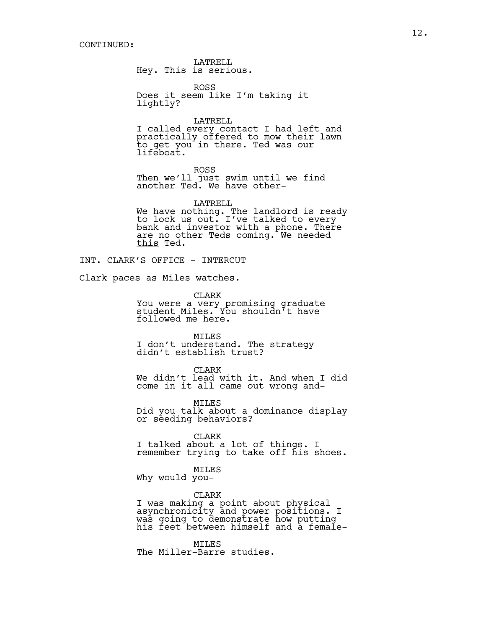LATRELL Hey. This is serious.

ROSS Does it seem like I'm taking it lightly?

LATRELL I called every contact I had left and practically offered to mow their lawn to get you in there. Ted was our lifeboat.

ROSS Then we'll just swim until we find another Ted. We have other-

LATRELL We have <u>nothing</u>. The landlord is ready to lock us out. I've talked to every bank and investor with a phone. There are no other Teds coming. We needed this Ted.

INT. CLARK'S OFFICE - INTERCUT

Clark paces as Miles watches.

CLARK You were a very promising graduate student Miles. You shouldn't have followed me here.

MILES I don't understand. The strategy didn't establish trust?

CLARK We didn't lead with it. And when I did come in it all came out wrong and-

MILES Did you talk about a dominance display or seeding behaviors?

CLARK I talked about a lot of things. I remember trying to take off his shoes.

MILES Why would you-

CLARK

I was making a point about physical asynchronicity and power positions. I was going to demonstrate how putting his feet between himself and a female-

MILES The Miller-Barre studies.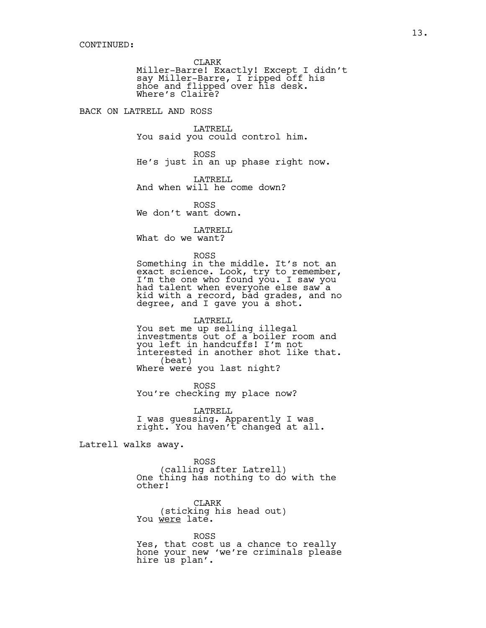CLARK

Miller-Barre! Exactly! Except I didn't say Miller-Barre, I ripped off his shoe and flipped over his desk. Where's Claire?

BACK ON LATRELL AND ROSS

LATRELL You said you could control him.

ROSS He's just in an up phase right now.

LATRELL And when will he come down?

ROSS We don't want down.

LATRELL

What do we want?

ROSS

Something in the middle. It's not an exact science. Look, try to remember, I'm the one who found you. I saw you had talent when everyone else saw a kid with a record, bad grades, and no degree, and I gave you a shot.

LATRELL You set me up selling illegal investments out of a boiler room and you left in handcuffs! I'm not interested in another shot like that. (beat) Where were you last night?

ROSS You're checking my place now?

LATRELL I was guessing. Apparently I was right. You haven't changed at all.

Latrell walks away.

ROSS<br>(calling after Latrell) One thing has nothing to do with the other!

CLARK (sticking his head out) You were late.

ROSS Yes, that cost us a chance to really hone your new 'we're criminals please hire us plan'.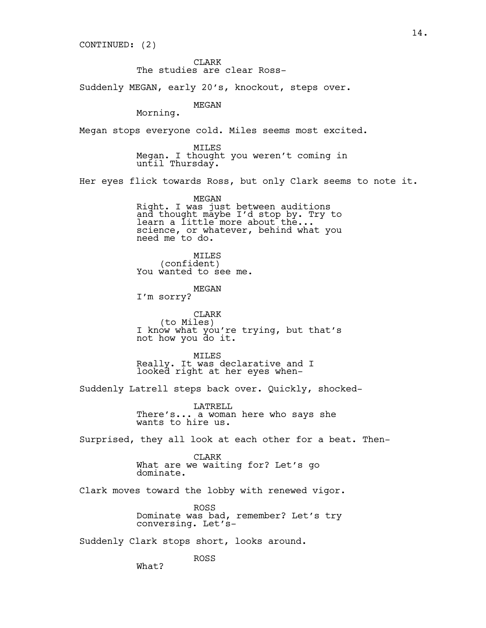CONTINUED: (2)

CLARK The studies are clear Ross-

Suddenly MEGAN, early 20's, knockout, steps over.

MEGAN

Morning.

Megan stops everyone cold. Miles seems most excited.

MILES Megan. I thought you weren't coming in until Thursday.

Her eyes flick towards Ross, but only Clark seems to note it.

MEGAN Right. I was just between auditions and thought maybe I'd stop by. Try to learn a little more about the... science, or whatever, behind what you need me to do.

MILES<br>(confident) You wanted to see me.

MEGAN I'm sorry?

CLARK<br>(to Miles) (to Miles) I know what you're trying, but that's not how you do it.

MILES Really. It was declarative and I looked right at her eyes when-

Suddenly Latrell steps back over. Quickly, shocked-

LATRELL There's... a woman here who says she wants to hire us.

Surprised, they all look at each other for a beat. Then-

CLARK What are we waiting for? Let's go dominate.

Clark moves toward the lobby with renewed vigor.

ROSS Dominate was bad, remember? Let's try conversing. Let's-

Suddenly Clark stops short, looks around.

What?

ROSS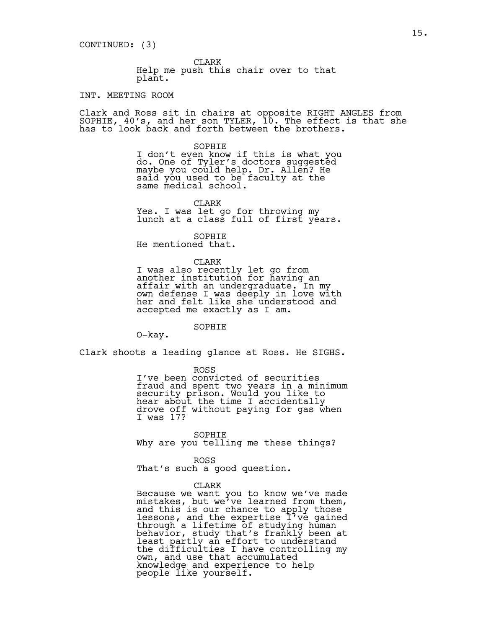CLARK Help me push this chair over to that plant.

## INT. MEETING ROOM

Clark and Ross sit in chairs at opposite RIGHT ANGLES from SOPHIE, 40's, and her son TYLER, 10. The effect is that she has to look back and forth between the brothers.

> SOPHIE I don't even know if this is what you do. One of Tyler's doctors suggested maybe you could help. Dr. Allen? He said you used to be faculty at the same medical school.

CLARK Yes. I was let go for throwing my lunch at a class full of first years.

SOPHIE He mentioned that.

CLARK I was also recently let go from another institution for having an affair with an undergraduate. In my own defense I was deeply in love with her and felt like she understood and accepted me exactly as I am.

SOPHIE

O-kay.

Clark shoots a leading glance at Ross. He SIGHS.

ROSS

I've been convicted of securities fraud and spent two years in a minimum security prison. Would you like to hear about the time I accidentally drove off without paying for gas when I was 17?

SOPHIE Why are you telling me these things?

ROSS That's such a good question.

#### CLARK

Because we want you to know we've made mistakes, but we've learned from them, and this is our chance to apply those lessons, and the expertise I've gained through a lifetime of studying human behavior, study that's frankly been at least partly an effort to understand the difficulties I have controlling my own, and use that accumulated knowledge and experience to help people like yourself.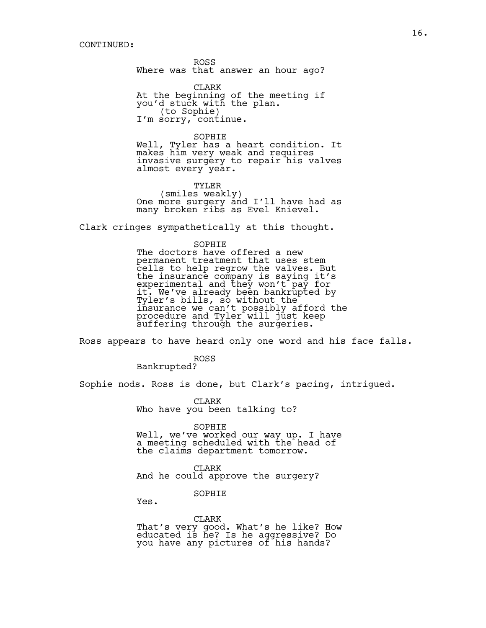ROSS Where was that answer an hour ago?

CLARK At the beginning of the meeting if you'd stuck with the plan. (to Sophie) I'm sorry, continue.

#### SOPHIE

Well, Tyler has a heart condition. It makes him very weak and requires invasive surgery to repair his valves almost every year.

TYLER (smiles weakly) One more surgery and I'll have had as many broken ribs as Evel Knievel.

Clark cringes sympathetically at this thought.

#### SOPHIE

The doctors have offered a new permanent treatment that uses stem cells to help regrow the valves. But the insurance company is saying it's experimental and they won't pay for it. We've already been bankrupted by Tyler's bills, so without the insurance we can't possibly afford the procedure and Tyler will just keep suffering through the surgeries.

Ross appears to have heard only one word and his face falls.

ROSS Bankrupted?

Sophie nods. Ross is done, but Clark's pacing, intrigued.

CLARK Who have you been talking to?

SOPHIE

Well, we've worked our way up. I have a meeting scheduled with the head of the claims department tomorrow.

CLARK And he could approve the surgery?

SOPHIE

Yes.

CLARK That's very good. What's he like? How educated is he? Is he aggressive? Do you have any pictures of his hands?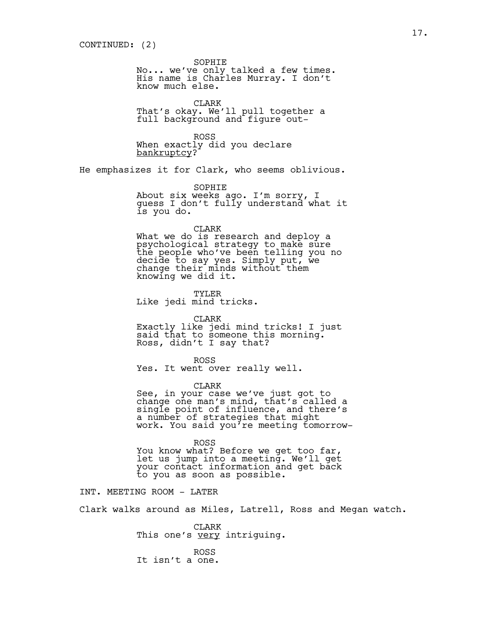SOPHIE

No... we've only talked a few times. His name is Charles Murray. I don't know much else.

CLARK That's okay. We'll pull together a full background and figure out-

ROSS When exactly did you declare bankruptcy?

He emphasizes it for Clark, who seems oblivious.

SOPHIE

About six weeks ago. I'm sorry, I guess I don't fully understand what it is you do.

CLARK

What we do is research and deploy a psychological strategy to make sure the people who've been telling you no decide to say yes. Simply put, we change their minds without them knowing we did it.

TYLER Like jedi mind tricks.

## CLARK

Exactly like jedi mind tricks! I just said that to someone this morning. Ross, didn't I say that?

ROSS

Yes. It went over really well.

CLARK

See, in your case we've just got to change one man's mind, that's called a single point of influence, and there's a number of strategies that might work. You said you're meeting tomorrow-

ROSS

You know what? Before we get too far, let us jump into a meeting. We'll get your contact information and get back to you as soon as possible.

INT. MEETING ROOM - LATER

Clark walks around as Miles, Latrell, Ross and Megan watch.

CLARK This one's <u>very</u> intriguing.

ROSS It isn't a one.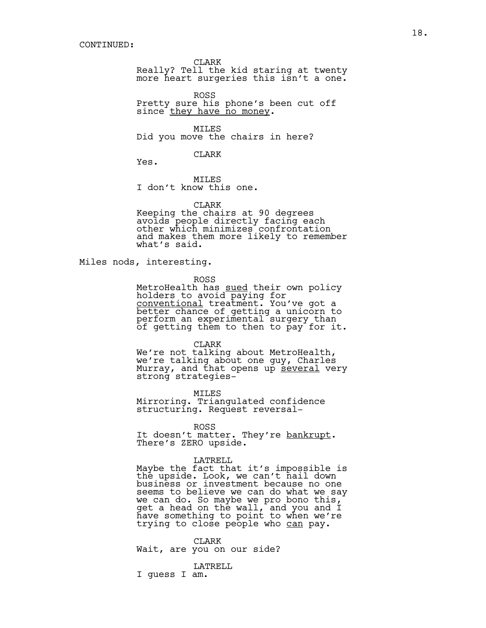CLARK

Really? Tell the kid staring at twenty more heart surgeries this isn't a one.

ROSS Pretty sure his phone's been cut off since they have no money.

MILES Did you move the chairs in here?

#### CLARK

Yes.

MILES I don't know this one.

### CLARK

Keeping the chairs at 90 degrees avoids people directly facing each other which minimizes confrontation and makes them more likely to remember what's said.

Miles nods, interesting.

ROSS

MetroHealth has sued their own policy holders to avoid paying for conventional treatment. You've got a better chance of getting a unicorn to perform an experimental surgery than of getting them to then to pay for it.

CLARK

We're not talking about MetroHealth, we're talking about one guy, Charles Murray, and that opens up several very<br>strong strategies-

MILES

Mirroring. Triangulated confidence structuring. Request reversal-

ROSS

It doesn't matter. They're <u>bankrupt</u>.<br>There's ZERO upside.

## LATRELL

Maybe the fact that it's impossible is the upside. Look, we can't nail down business or investment because no one seems to believe we can do what we say we can do. So maybe we pro bono this, get a head on the wall, and you and I have something to point to when we're trying to close people who can pay.

CLARK Wait, are you on our side?

LATRELL

I guess I am.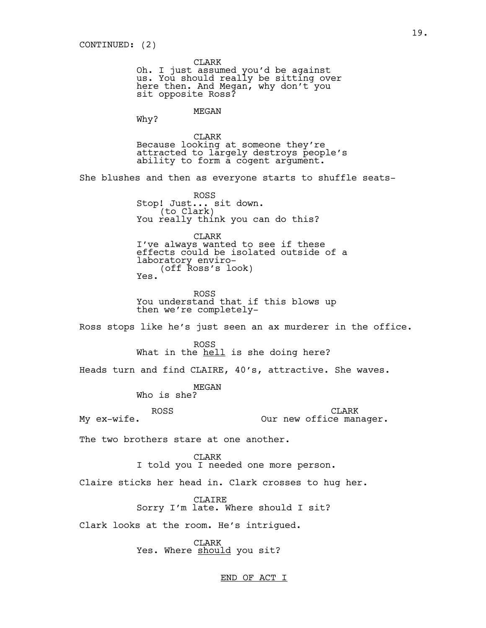CLARK

Oh. I just assumed you'd be against us. You should really be sitting over here then. And Megan, why don't you sit opposite Ross?

## MEGAN

Why?

CLARK Because looking at someone they're attracted to largely destroys people's ability to form a cogent argument.

She blushes and then as everyone starts to shuffle seats-

ROSS Stop! Just... sit down.<br>(to Clark) You really think you can do this?

CLARK I've always wanted to see if these effects could be isolated outside of a laboratory enviro- (off Ross's look) Yes.

ROSS You understand that if this blows up then we're completely-

Ross stops like he's just seen an ax murderer in the office.

ROSS What in the hell is she doing here?

Heads turn and find CLAIRE, 40's, attractive. She waves.

MEGAN

Who is she?

ROSS

My ex-wife.

CLARK Our new office manager.

The two brothers stare at one another.

CLARK I told you I needed one more person.

Claire sticks her head in. Clark crosses to hug her.

CLAIRE Sorry I'm late. Where should I sit?

Clark looks at the room. He's intrigued.

CLARK Yes. Where should you sit?

## END OF ACT I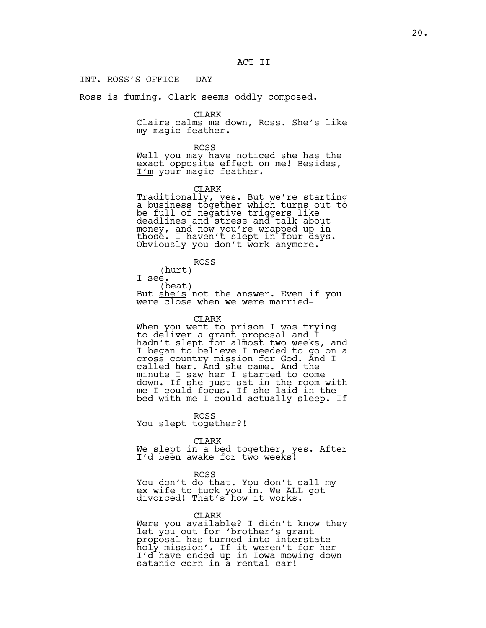INT. ROSS'S OFFICE - DAY

Ross is fuming. Clark seems oddly composed.

CLARK

Claire calms me down, Ross. She's like my magic feather.

ROSS

Well you may have noticed she has the exact opposite effect on me! Besides, I'm your magic feather.

CLARK

Traditionally, yes. But we're starting a business together which turns out to be full of negative triggers like deadlines and stress and talk about money, and now you're wrapped up in those. I haven't slept in four days. Obviously you don't work anymore.

ROSS (hurt) I see. (beat) But <u>she's</u> not the answer. Even if you<br>were close when we were married-

#### CLARK

When you went to prison I was trying to deliver a grant proposal and I hadn't slept for almost two weeks, and I began to believe I needed to go on a cross country mission for God. And I called her. And she came. And the minute I saw her I started to come down. If she just sat in the room with me I could focus. If she laid in the bed with me I could actually sleep. If-

ROSS You slept together?!

CLARK

We slept in a bed together, yes. After I'd been awake for two weeks!

ROSS

You don't do that. You don't call my ex wife to tuck you in. We ALL got divorced! That's how it works.

CLARK

Were you available? I didn't know they let you out for 'brother's grant proposal has turned into interstate holy mission'. If it weren't for her I'd have ended up in Iowa mowing down satanic corn in a rental car!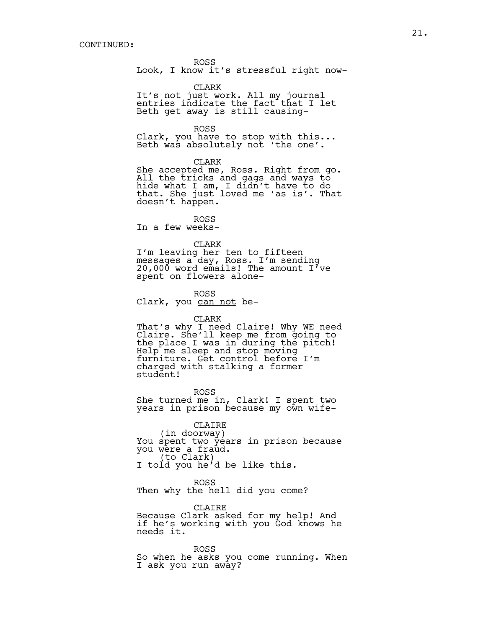ROSS

Look, I know it's stressful right now-

CLARK

It's not just work. All my journal entries indicate the fact that I let Beth get away is still causing-

ROSS

Clark, you have to stop with this... Beth was absolutely not 'the one'.

CLARK

She accepted me, Ross. Right from go. All the tricks and gags and ways to hide what I am, I didn't have to do that. She just loved me 'as is'. That doesn't happen.

ROSS In a few weeks-

## CLARK

I'm leaving her ten to fifteen messages a day, Ross. I'm sending 20,000 word  $emails!$  The amount I've spent on flowers alone-

ROSS Clark, you can not be-

## CLARK

That's why I need Claire! Why WE need Claire. She'll keep me from going to the place I was in during the pitch! Help me sleep and stop moving furniture. Get control before I'm charged with stalking a former student!

ROSS She turned me in, Clark! I spent two years in prison because my own wife-

CLAIRE<br>(in doorway)

You spent two years in prison because you were a fraud.<br>(to Clark)

I told you he'd be like this.

ROSS Then why the hell did you come?

CLAIRE Because Clark asked for my help! And if he's working with you God knows he needs it.

ROSS So when he asks you come running. When I ask you run away?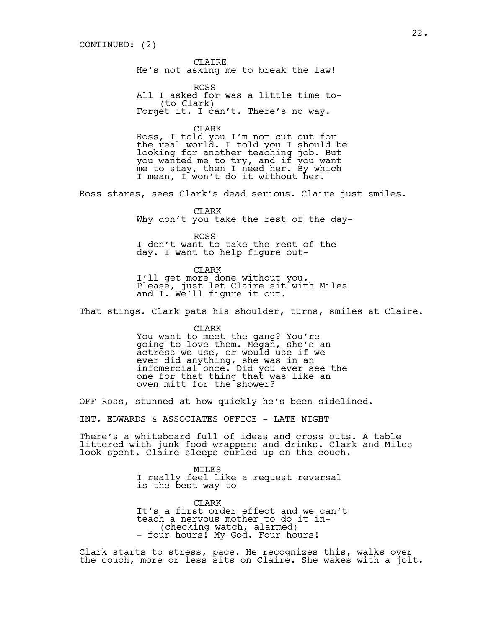CLAIRE He's not asking me to break the law!

ROSS All I asked for was a little time to-<br>(to Clark) Forget it. I can't. There's no way.

CLARK

Ross, I told you I'm not cut out for the real world. I told you I should be looking for another teaching job. But you wanted me to try, and if you want me to stay, then I need her. By which I mean, I won't do it without her.

Ross stares, sees Clark's dead serious. Claire just smiles.

CLARK Why don't you take the rest of the day-

ROSS I don't want to take the rest of the day. I want to help figure out-

CLARK I'll get more done without you. Please, just let Claire sit with Miles and I. We'll figure it out.

That stings. Clark pats his shoulder, turns, smiles at Claire.

CLARK You want to meet the gang? You're going to love them. Megan, she's an actress we use, or would use if we ever did anything, she was in an infomercial once. Did you ever see the one for that thing that was like an oven mitt for the shower?

OFF Ross, stunned at how quickly he's been sidelined.

INT. EDWARDS & ASSOCIATES OFFICE - LATE NIGHT

There's a whiteboard full of ideas and cross outs. A table littered with junk food wrappers and drinks. Clark and Miles look spent. Claire sleeps curled up on the couch.

> MILES I really feel like a request reversal is the best way to-

CLARK It's a first order effect and we can't teach a nervous mother to do it in- (checking watch, alarmed) - four hours! My God. Four hours!

Clark starts to stress, pace. He recognizes this, walks over the couch, more or less sits on Claire. She wakes with a jolt.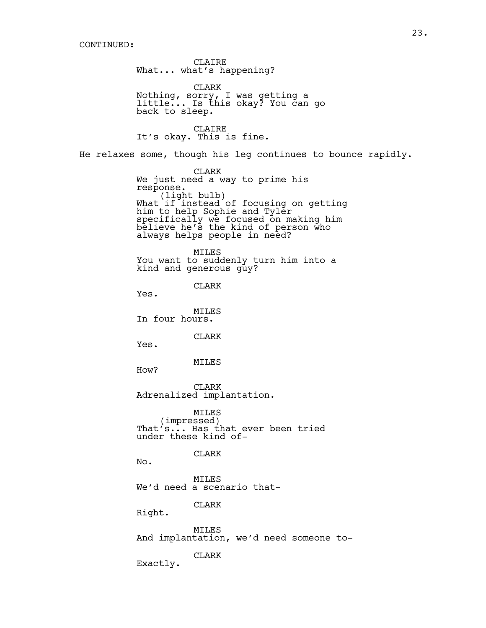CLAIRE What... what's happening? CLARK Nothing, sorry, I was getting a little... Is this okay? You can go back to sleep. CLAIRE It's okay. This is fine. He relaxes some, though his leg continues to bounce rapidly. CLARK We just need a way to prime his<br>response. response.<br>(light bulb)<br>What if instead of focusing on getting him to help Sophie and Tyler specifically we focused on making him believe he's the kind of person who always helps people in need? MILES You want to suddenly turn him into a kind and generous guy? CLARK Yes. MILES In four hours. CLARK Yes. MILES How? CLARK Adrenalized implantation. MILES<br>(impressed) That's... Has that ever been tried under these kind of-CLARK No. MILES We'd need a scenario that-CLARK Right. **MTLES** And implantation, we'd need someone to-CLARK Exactly.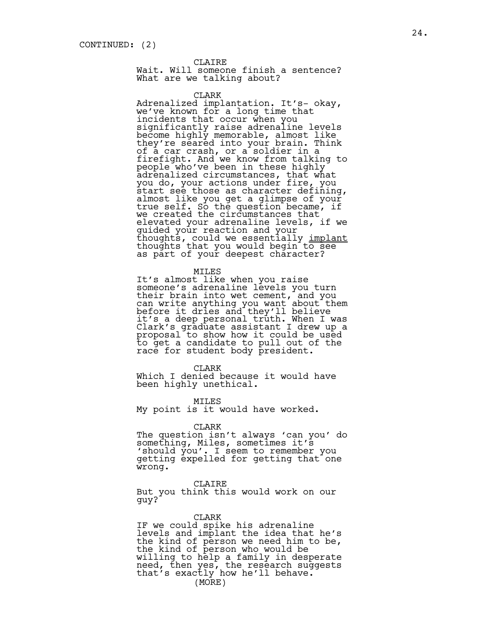## CLAIRE

Wait. Will someone finish a sentence? What are we talking about?

CLARK

Adrenalized implantation. It's- okay, we've known for a long time that incidents that occur when you significantly raise adrenaline levels become highly memorable, almost like they're seared into your brain. Think of a car crash, or a soldier in a firefight. And we know from talking to  $\texttt{people}$  who've been in these highly adrenalized circumstances, that what you do, your actions under fire, you start see those as character defining, almost like you get a glimpse of your true self. So the question became, if we created the circumstances that elevated your adrenaline levels, if we guided your reaction and your thoughts, could we essentially <u>implant</u><br>thoughts that you would begin to see as part of your deepest character?

## MILES

It's almost like when you raise someone's adrenaline levels you turn their brain into wet cement, and you can write anything you want about them before it dries and they'll believe it's a deep personal truth. When I was Clark's graduate assistant I drew up a proposal to show how it could be used to get a candidate to pull out of the race for student body president.

CLARK

Which I denied because it would have been highly unethical.

MILES

My point is it would have worked.

#### CLARK

The question isn't always 'can you' do something, Miles, sometimes it's 'should you'. I seem to remember you getting expelled for getting that one wrong.

CLAIRE

But you think this would work on our guy?

CLARK IF we could spike his adrenaline levels and implant the idea that he's the kind of person we need him to be, the kind of person who would be willing to help a family in desperate need, then yes, the research suggests that's exactly how he'll behave. (MORE)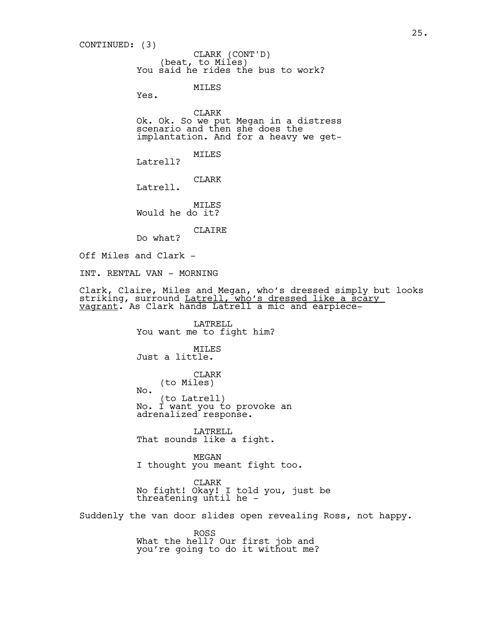(beat, to Miles) You said he rides the bus to work? MILES CONTINUED: (3) CLARK (CONT'D)

Yes.

CLARK Ok. Ok. So we put Megan in a distress scenario and then she does the implantation. And for a heavy we get-

MILES

Latrell?

CLARK

Latrell.

MILES Would he do it?

CLAIRE

Do what?

Off Miles and Clark -

INT. RENTAL VAN - MORNING

No.

Clark, Claire, Miles and Megan, who's dressed simply but looks striking, surround <u>Latrell, who's dressed like a scary</u> vagrant. As Clark hands Latrell a mic and earpiece-

> LATRELL You want me to fight him?

MILES Just a little.

> CLARK (to Miles)

(to Latrell) No. I want you to provoke an adrenalized response.

LATRELL That sounds like a fight.

MEGAN I thought you meant fight too.

CLARK No fight! Okay! I told you, just be threatening until he -

Suddenly the van door slides open revealing Ross, not happy.

ROSS What the hell? Our first job and you're going to do it without me?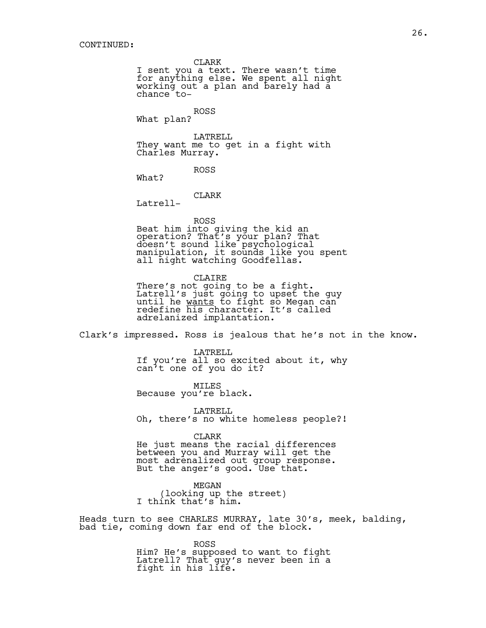CLARK

I sent you a text. There wasn't time for anything else. We spent all night working out a plan and barely had a chance to-

ROSS What plan?

LATRELL They want me to get in a fight with Charles Murray.

What?

CLARK

ROSS

Latrell-

ROSS Beat him into giving the kid an operation? That's your plan? That doesn't sound like psychological manipulation, it sounds like you spent all night watching Goodfellas.

CLAIRE There's not going to be a fight. Latrell's just going to upset the guy until he <u>wants</u> to fight so Megan can<br>redefine his character. It's called adrelanized implantation.

Clark's impressed. Ross is jealous that he's not in the know.

LATRELL If you're all so excited about it, why can't one of you do it?

MTT.ES Because you're black.

LATRELL Oh, there's no white homeless people?!

CLARK He just means the racial differences between you and Murray will get the most adrenalized out group response. But the anger's good. Use that.

MEGAN (looking up the street) I think that's him.

Heads turn to see CHARLES MURRAY, late 30's, meek, balding, bad tie, coming down far end of the block.

> ROSS Him? He's supposed to want to fight Latrell? That guy's never been in a fight in his life.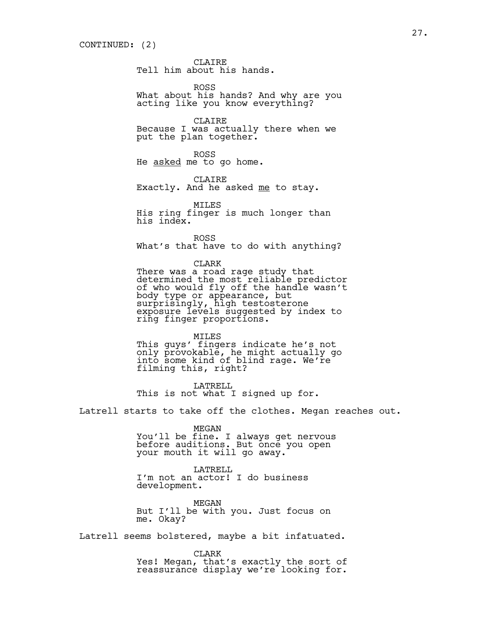CLAIRE Tell him about his hands.

ROSS What about his hands? And why are you acting like you know everything?

CLAIRE Because I was actually there when we put the plan together.

ROSS He asked me to go home.

CLAIRE

Exactly. And he asked me to stay.

MILES His ring finger is much longer than his index.

ROSS What's that have to do with anything?

CLARK There was a road rage study that determined the most reliable predictor of who would fly off the handle wasn't body type or appearance, but surprisingly, high testosterone exposure levels suggested by index to ring finger proportions.

MILES This guys' fingers indicate he's not only provokable, he might actually go into some kind of blind rage. We're filming this, right?

LATRELL. This is not what I signed up for.

Latrell starts to take off the clothes. Megan reaches out.

MEGAN

You'll be fine. I always get nervous before auditions. But once you open your mouth it will go away.

LATRELL I'm not an actor! I do business development.

MEGAN But I'll be with you. Just focus on me. Okay?

Latrell seems bolstered, maybe a bit infatuated.

CLARK Yes! Megan, that's exactly the sort of reassurance display we're looking for.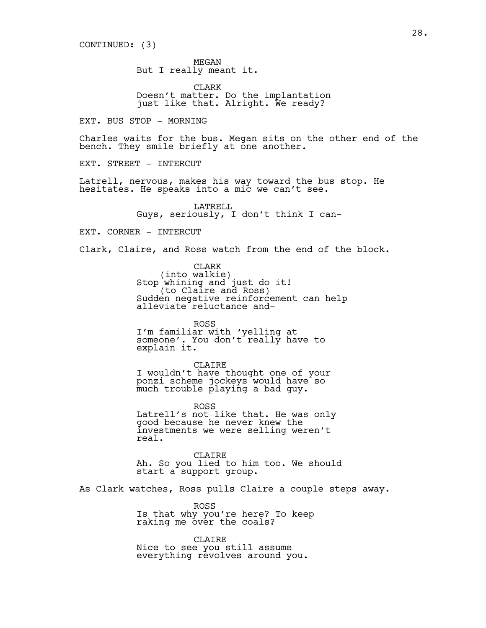MEGAN But I really meant it.

CLARK Doesn't matter. Do the implantation just like that. Alright. We ready?

EXT. BUS STOP - MORNING

Charles waits for the bus. Megan sits on the other end of the bench. They smile briefly at one another.

EXT. STREET - INTERCUT

Latrell, nervous, makes his way toward the bus stop. He hesitates. He speaks into a mic we can't see.

> LATRELL Guys, seriously, I don't think I can-

EXT. CORNER - INTERCUT

Clark, Claire, and Ross watch from the end of the block.

CLARK<br>(into walkie) Stop whining and just do it!<br>
(to Claire and Ross)<br>
Sudden negative reinforcement can help alleviate reluctance and-

ROSS I'm familiar with 'yelling at someone'. You don't really have to explain it.

CLAIRE I wouldn't have thought one of your ponzi scheme jockeys would have so much trouble playing a bad guy.

ROSS Latrell's not like that. He was only good because he never knew the investments we were selling weren't real.

CLAIRE Ah. So you lied to him too. We should start a support group.

As Clark watches, Ross pulls Claire a couple steps away.

ROSS Is that why you're here? To keep raking me over the coals?

CLAIRE Nice to see you still assume everything revolves around you.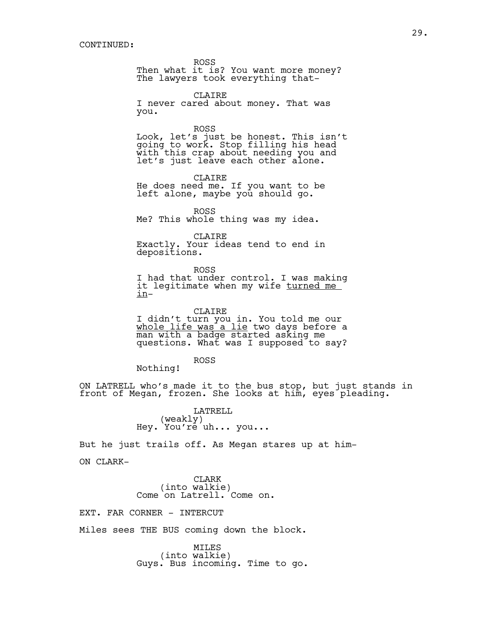ROSS

Then what it is? You want more money? The lawyers took everything that-

CLAIRE I never cared about money. That was you.

ROSS Look, let's just be honest. This isn't going to work. Stop filling his head with this crap about needing you and let's just leave each other alone.

CLAIRE He does need me. If you want to be left alone, maybe you should go.

ROSS

Me? This whole thing was my idea.

CLAIRE

Exactly. Your ideas tend to end in depositions.

ROSS I had that under control. I was making it legitimate when my wife turned me in-

CLAIRE I didn't turn you in. You told me our <u>whole life was a lie</u> two days before a<br>man with a badge started asking me questions. What was I supposed to say?

ROSS

Nothing!

ON LATRELL who's made it to the bus stop, but just stands in front of Megan, frozen. She looks at him, eyes pleading.

> LATRELL (weakly) Hey. You're uh... you...

But he just trails off. As Megan stares up at him-

ON CLARK-

CLARK<br>(into walkie) Come on Latrell. Come on.

EXT. FAR CORNER - INTERCUT

Miles sees THE BUS coming down the block.

MILES<br>(into walkie) Guys. Bus incoming. Time to go.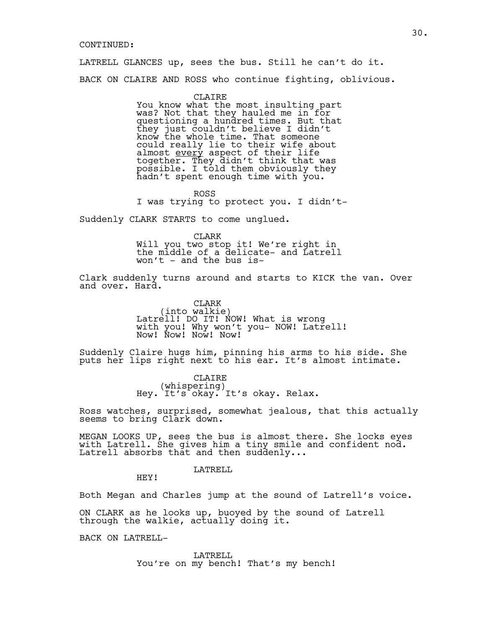## CONTINUED:

LATRELL GLANCES up, sees the bus. Still he can't do it.

BACK ON CLAIRE AND ROSS who continue fighting, oblivious.

CLAIRE You know what the most insulting part was? Not that they hauled me in for questioning a hundred times. But that they just couldn't believe I didn't know the whole time. That someone could really lie to their wife about almost <u>every</u> aspect of their life<br>together. They didn't think that was together. They didn't think that was<br>possible. I told them obviously they hadn't spent enough time with you.

ROSS I was trying to protect you. I didn't-

Suddenly CLARK STARTS to come unglued.

CLARK

Will you two stop it! We're right in the middle of a delicate- and Latrell won't  $-$  and the bus is-

Clark suddenly turns around and starts to KICK the van. Over and over. Hard.

> CLARK<br>(into walkie) Latrell! DO IT! NOW! What is wrong with you! Why won't you- NOW! Latrell! Now! Now! Now! Now!

Suddenly Claire hugs him, pinning his arms to his side. She puts her lips right next to his ear. It's almost intimate.

> CLAIRE<br>(whispering) Hey. It's okay. It's okay. Relax.

Ross watches, surprised, somewhat jealous, that this actually seems to bring Clark down.

MEGAN LOOKS UP, sees the bus is almost there. She locks eyes with Latrell. She gives him a tiny smile and confident nod. Latrell absorbs that and then suddenly...

LATRELL

HEY!

Both Megan and Charles jump at the sound of Latrell's voice.

ON CLARK as he looks up, buoyed by the sound of Latrell through the walkie, actually doing it.

BACK ON LATRELL-

LATRELL You're on my bench! That's my bench!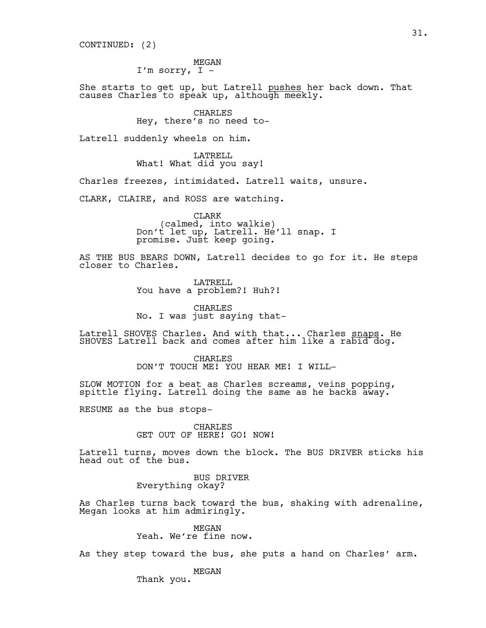CONTINUED: (2)

MEGAN I'm sorry,  $I -$ 

She starts to get up, but Latrell pushes her back down. That causes Charles to speak up, although meekly.

> CHARLES Hey, there's no need to-

Latrell suddenly wheels on him.

LATRELL What! What did you say!

Charles freezes, intimidated. Latrell waits, unsure.

CLARK, CLAIRE, and ROSS are watching.

CLARK<br>(calmed, into walkie) (calmed, into walkie) Don't let up, Latrell. He'll snap. I promise. Just keep going.

AS THE BUS BEARS DOWN, Latrell decides to go for it. He steps closer to Charles.

> LATRELL You have a problem?! Huh?!

CHARLES No. I was just saying that-

Latrell SHOVES Charles. And with that... Charles snaps. He SHOVES Latrell back and comes after him like a rabid dog.

> CHARLES DON'T TOUCH ME! YOU HEAR ME! I WILL-

SLOW MOTION for a beat as Charles screams, veins popping, spittle flying. Latrell doing the same as he backs away.

RESUME as the bus stops-

CHARLES GET OUT OF HERE! GO! NOW!

Latrell turns, moves down the block. The BUS DRIVER sticks his head out of the bus.

> BUS DRIVER Everything okay?

As Charles turns back toward the bus, shaking with adrenaline, Megan looks at him admiringly.

> MEGAN Yeah. We're fine now.

As they step toward the bus, she puts a hand on Charles' arm.

MEGAN

Thank you.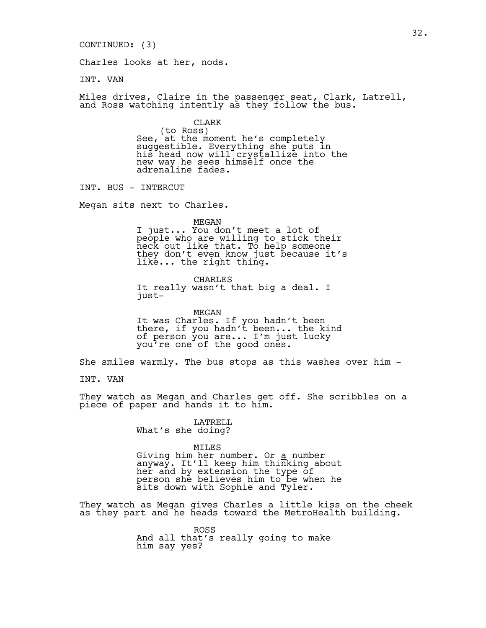CONTINUED: (3)

Charles looks at her, nods.

INT. VAN

Miles drives, Claire in the passenger seat, Clark, Latrell, and Ross watching intently as they follow the bus.

CLARK<br>(to Ross) See, at the moment he's completely suggestible. Everything she puts in his head now will crystallize into the new way he sees himself once the adrenaline fades.

INT. BUS - INTERCUT

Megan sits next to Charles.

MEGAN

I just... You don't meet a lot of people who are willing to stick their neck out like that. To help someone they don't even know just because it's like... the right thing.

CHARLES It really wasn't that big a deal. I just-

MEGAN It was Charles. If you hadn't been there, if you hadn't been... the kind of person you are... I'm just lucky you're one of the good ones.

She smiles warmly. The bus stops as this washes over him -

INT. VAN

They watch as Megan and Charles get off. She scribbles on a piece of paper and hands it to him.

> LATRELL What's she doing?

> > MILES

Giving him her number. Or a number anyway. It'll keep him thinking about her and by extension the <u>type of</u> person she believes him to be when he sits down with Sophie and Tyler.

They watch as Megan gives Charles a little kiss on the cheek as they part and he heads toward the MetroHealth building.

> ROSS And all that's really going to make him say yes?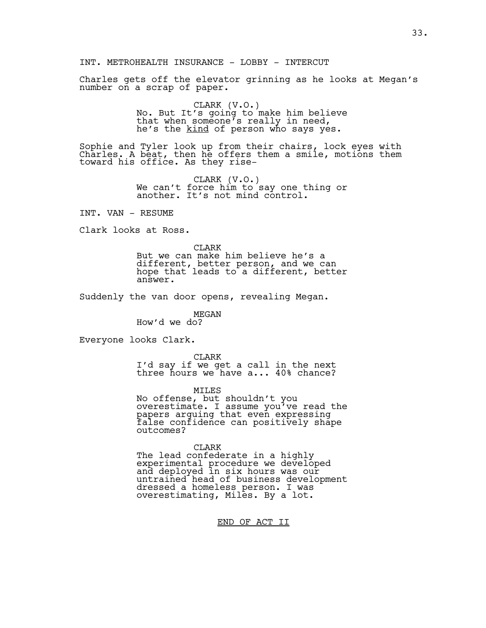INT. METROHEALTH INSURANCE - LOBBY - INTERCUT

Charles gets off the elevator grinning as he looks at Megan's number on a scrap of paper.

> CLARK (V.O.) No. But It's going to make him believe that when someone's really in need, he's the kind of person who says yes.

Sophie and Tyler look up from their chairs, lock eyes with Charles. A beat, then he offers them a smile, motions them toward his office. As they rise-

> CLARK (V.O.) We can't force him to say one thing or another. It's not mind control.

INT. VAN - RESUME

Clark looks at Ross.

CLARK

But we can make him believe he's a different, better person, and we can hope that leads to a different, better answer.

Suddenly the van door opens, revealing Megan.

MEGAN How'd we do?

Everyone looks Clark.

CLARK I'd say if we get a call in the next three hours we have a... 40% chance?

MILES

No offense, but shouldn't you overestimate. I assume you've read the papers arguing that even expressing false confidence can positively shape outcomes?

CLARK

The lead confederate in a highly experimental procedure we developed and deployed in six hours was our untrained head of business development dressed a homeless person. I was overestimating, Miles. By a lot.

END OF ACT II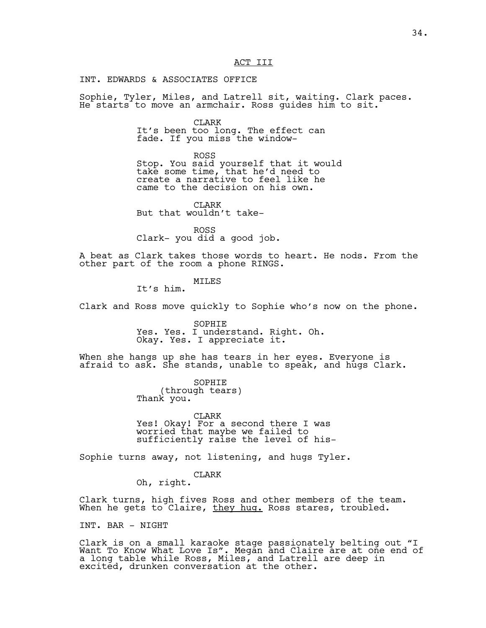## ACT III

INT. EDWARDS & ASSOCIATES OFFICE

Sophie, Tyler, Miles, and Latrell sit, waiting. Clark paces. He starts to move an armchair. Ross guides him to sit.

> CLARK It's been too long. The effect can fade. If you miss the window-

ROSS Stop. You said yourself that it would take some time, that he'd need to create a narrative to feel like he came to the decision on his own.

CLARK But that wouldn't take-

ROSS Clark- you did a good job.

A beat as Clark takes those words to heart. He nods. From the other part of the room a phone RINGS.

## MTT.ES

It's him.

Clark and Ross move quickly to Sophie who's now on the phone.

SOPHIE Yes. Yes. I understand. Right. Oh. Okay. Yes. I appreciate it.

When she hangs up she has tears in her eyes. Everyone is afraid to ask. She stands, unable to speak, and hugs Clark.

> SOPHIE (through tears) Thank you.

CLARK Yes! Okay! For a second there I was worried that maybe we failed to sufficiently raise the level of his-

Sophie turns away, not listening, and hugs Tyler.

CLARK Oh, right.

Clark turns, high fives Ross and other members of the team. When he gets to Claire, <u>they hug.</u> Ross stares, troubled.

INT. BAR - NIGHT

Clark is on a small karaoke stage passionately belting out "I Want To Know What Love Is". Megan and Claire are at one end of a long table while Ross, Miles, and Latrell are deep in excited, drunken conversation at the other.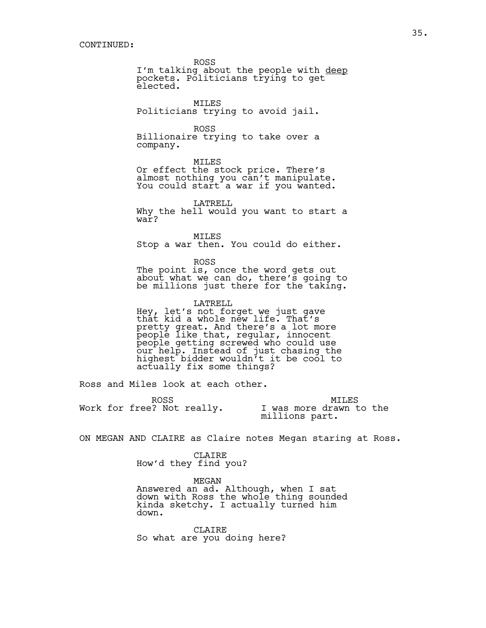ROSS

I'm talking about the people with deep pockets. Politicians trying to get elected.

MILES Politicians trying to avoid jail.

ROSS Billionaire trying to take over a company.

MILES Or effect the stock price. There's almost nothing you can't manipulate. You could start a war if you wanted.

LATRELL Why the hell would you want to start a  $\overline{w}$ ar?

MILES Stop a war then. You could do either.

ROSS The point is, once the word gets out about what we can do, there's going to be millions just there for the taking.

LATRELL Hey, let's not forget we just gave that kid a whole new life. That's pretty great. And there's a lot more people like that, regular, innocent people getting screwed who could use our help. Instead of just chasing the highest bidder wouldn't it be cool to actually fix some things?

Ross and Miles look at each other.

|                            | ROSS. | MTLES                                     |
|----------------------------|-------|-------------------------------------------|
| Work for free? Not really. |       | I was more drawn to the<br>millions part. |

ON MEGAN AND CLAIRE as Claire notes Megan staring at Ross.

CLAIRE How'd they find you?

MEGAN

Answered an ad. Although, when I sat down with Ross the whole thing sounded kinda sketchy. I actually turned him down.

**CLAIRE** So what are you doing here?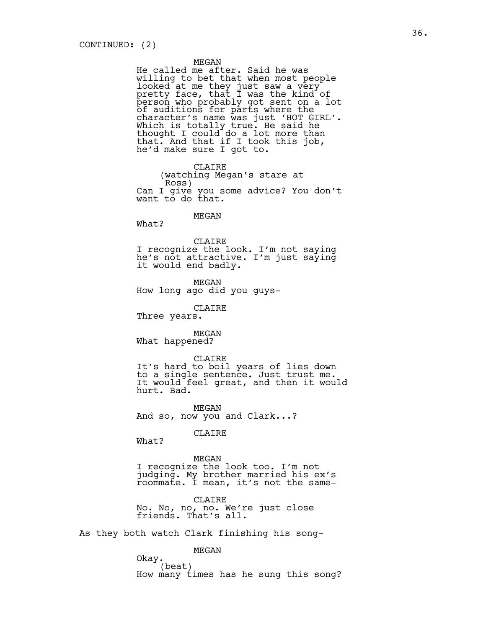#### MEGAN

He called me after. Said he was willing to bet that when most people looked at me they just saw a very pretty face, that I was the kind of person who probably got sent on a lot of auditions for parts where the character's name was just 'HOT GIRL'. Which is totally true. He said he thought I could do a lot more than that. And that if I took this job, he'd make sure I got to.

CLAIRE (watching Megan's stare at Can I give you some advice? You don't want to do that.

## MEGAN

What?

CLAIRE I recognize the look. I'm not saying he's not attractive. I'm just saying it would end badly.

MEGAN How long ago did you guys-

CLAIRE

Three years.

MEGAN What happened?

CLAIRE It's hard to boil years of lies down to a single sentence. Just trust me. It would feel great, and then it would hurt. Bad.

MEGAN And so, now you and Clark...?

CLAIRE

What?

MEGAN I recognize the look too. I'm not judging. My brother married his ex's roommate. I mean, it's not the same-

CLAIRE No. No, no, no. We're just close friends. That's all.

As they both watch Clark finishing his song-

MEGAN Okay.<br>(beat) How many times has he sung this song?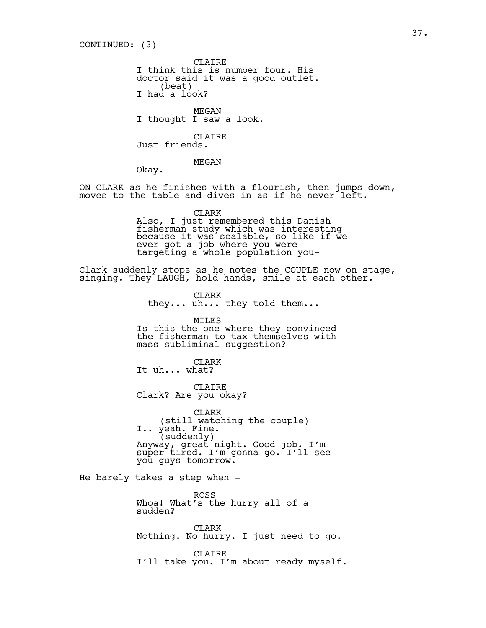CONTINUED: (3)

CLAIRE I think this is number four. His doctor said it was a good outlet. (beat)<br>I had a look?

MEGAN I thought I saw a look.

CLAIRE Just friends.

MEGAN

Okay.

ON CLARK as he finishes with a flourish, then jumps down, moves to the table and dives in as if he never left.

CLARK

Also, I just remembered this Danish fisherman study which was interesting because it was scalable, so like if we ever got a job where you were targeting a whole population you-

Clark suddenly stops as he notes the COUPLE now on stage, singing. They LAUGH, hold hands, smile at each other.

> CLARK - they... uh... they told them...

MILES Is this the one where they convinced the fisherman to tax themselves with mass subliminal suggestion?

CLARK It uh... what?

CLAIRE Clark? Are you okay?

CLARK (still watching the couple) I.. yeah. Fine. (suddenly) Anyway, great night. Good job. I'm super tired. I'm gonna go. I'll see you guys tomorrow.

He barely takes a step when -

ROSS Whoa! What's the hurry all of a sudden?

CLARK Nothing. No hurry. I just need to go.

CLAIRE I'll take you. I'm about ready myself.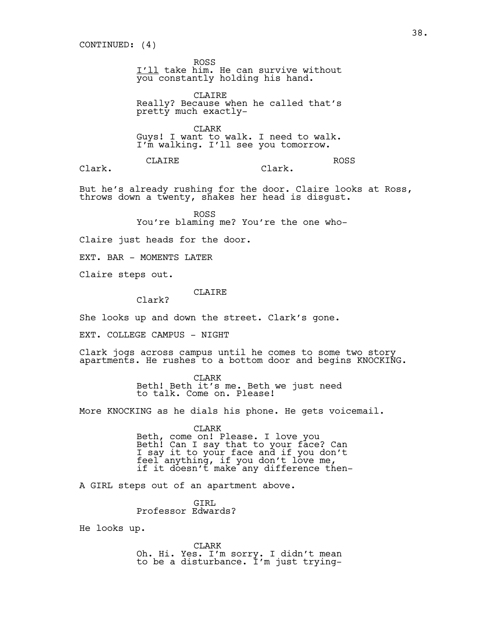ROSS I'll take him. He can survive without  $\overline{\text{you}}$  constantly holding his hand.

CLAIRE Really? Because when he called that's pretty much exactly-

CLARK Guys! I want to walk. I need to walk. I'm walking. I'll see you tomorrow.

Clark.

CLAIRE

Clark.

ROSS

But he's already rushing for the door. Claire looks at Ross,

throws down a twenty, shakes her head is disgust.

ROSS You're blaming me? You're the one who-

Claire just heads for the door.

EXT. BAR - MOMENTS LATER

Claire steps out.

CLAIRE

She looks up and down the street. Clark's gone.

EXT. COLLEGE CAMPUS - NIGHT

Clark?

Clark jogs across campus until he comes to some two story apartments. He rushes to a bottom door and begins KNOCKING.

> CLARK Beth! Beth it's me. Beth we just need to talk. Come on. Please!

More KNOCKING as he dials his phone. He gets voicemail.

CLARK Beth, come on! Please. I love you Beth! Can I say that to your face? Can I say it to your face and if you don't feel anything, if you don't love me, if it doesn't make any difference then-

A GIRL steps out of an apartment above.

GIRL Professor Edwards?

He looks up.

CLARK Oh. Hi. Yes. I'm sorry. I didn't mean to be a disturbance. I'm just trying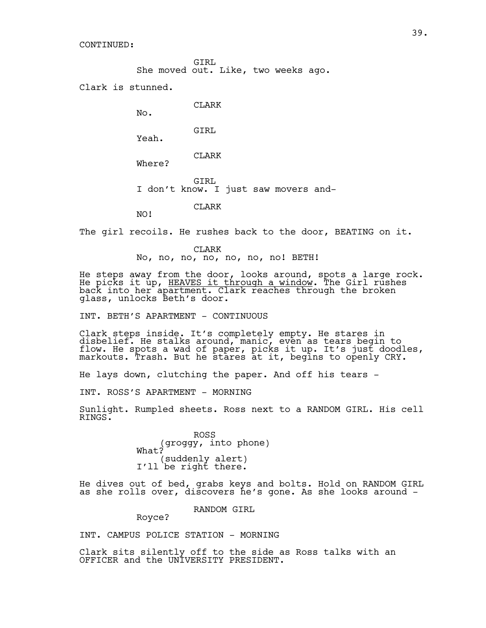CONTINUED:

GIRL She moved out. Like, two weeks ago.

Clark is stunned.

No.

NO!

CLARK

GIRL Yeah.

CLARK Where?

GIRL I don't know. I just saw movers and-

CLARK

The girl recoils. He rushes back to the door, BEATING on it.

CLARK No, no, no, no, no, no, no! BETH!

He steps away from the door, looks around, spots a large rock. He picks it up, <u>HEAVES it through a window</u>. The Girl rushes back into her apartment. Clark reaches through the broken glass, unlocks Beth's door.

INT. BETH'S APARTMENT - CONTINUOUS

Clark steps inside. It's completely empty. He stares in disbelief. He stalks around, manic, even as tears begin to flow. He spots a wad of paper, picks it up. It's just doodles, markouts. Trash. But he stares at it, begins to openly CRY.

He lays down, clutching the paper. And off his tears -

INT. ROSS'S APARTMENT - MORNING

Sunlight. Rumpled sheets. Ross next to a RANDOM GIRL. His cell RINGS.

> ROSS (groggy, into phone) What? (suddenly alert) I'll be right there.

He dives out of bed, grabs keys and bolts. Hold on RANDOM GIRL as she rolls over, discovers he's gone. As she looks around -

RANDOM GIRL

INT. CAMPUS POLICE STATION - MORNING

Royce?

Clark sits silently off to the side as Ross talks with an OFFICER and the UNIVERSITY PRESIDENT.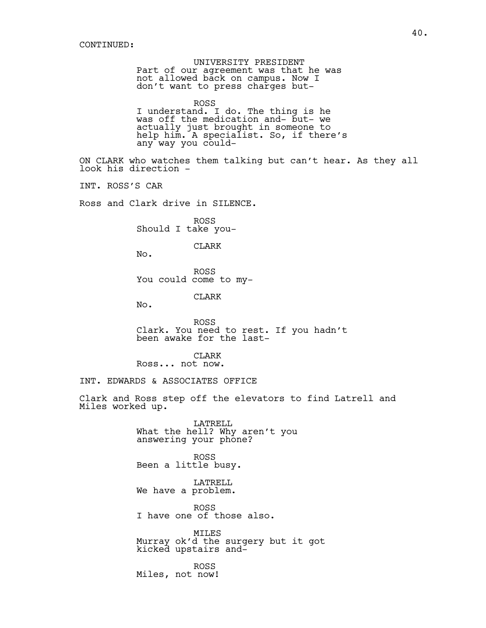UNIVERSITY PRESIDENT Part of our agreement was that he was not allowed back on campus. Now I don't want to press charges but-ROSS I understand. I do. The thing is he was off the medication and- but- we actually just brought in someone to help him. A specialist. So, if there's any way you could-ON CLARK who watches them talking but can't hear. As they all look his direction - INT. ROSS'S CAR Ross and Clark drive in SILENCE. ROSS Should I take you-CLARK No. ROSS You could come to my-CLARK No. ROSS Clark. You need to rest. If you hadn't been awake for the last-CLARK Ross... not now. INT. EDWARDS & ASSOCIATES OFFICE Clark and Ross step off the elevators to find Latrell and Miles worked up. LATRELL What the hell? Why aren't you answering your phone? ROSS Been a little busy. LATRELL We have a problem. ROSS I have one of those also.

> MILES Murray ok'd the surgery but it got kicked upstairs and-

ROSS Miles, not now!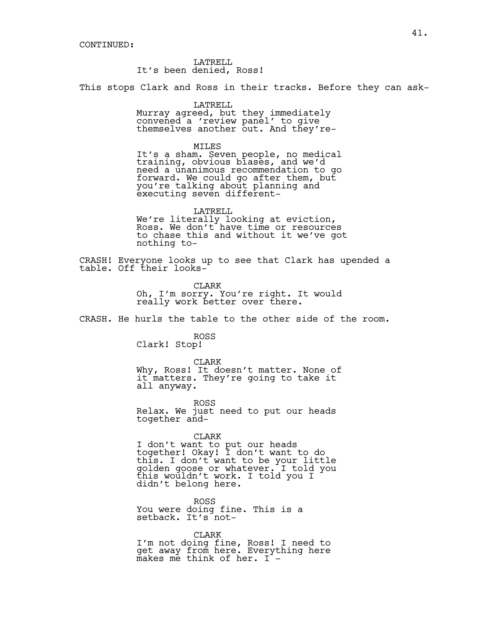LATRELL It's been denied, Ross!

This stops Clark and Ross in their tracks. Before they can ask-

LATRELL

Murray agreed, but they immediately convened a 'review panel' to give themselves another out. And they're-

MILES

It's a sham. Seven people, no medical training, obvious biases, and we'd need a unanimous recommendation to go forward. We could go after them, but you're talking about planning and executing seven different-

LATRELL

We're literally looking at eviction, Ross. We don't have time or resources to chase this and without it we've got nothing to-

CRASH! Everyone looks up to see that Clark has upended a table. Off their looks-

> CLARK Oh, I'm sorry. You're right. It would really work better over there.

CRASH. He hurls the table to the other side of the room.

ROSS

Clark! Stop!

CLARK Why, Ross! It doesn't matter. None of it matters. They're going to take it all anyway.

ROSS Relax. We just need to put our heads together and-

CLARK

I don't want to put our heads together! Okay! I don't want to do this. I don't want to be your little golden goose or whatever. I told you this wouldn't work. I told you I didn't belong here.

ROSS You were doing fine. This is a setback. It's not-

CLARK I'm not doing fine, Ross! I need to get away from here. Everything here makes me think of her. I -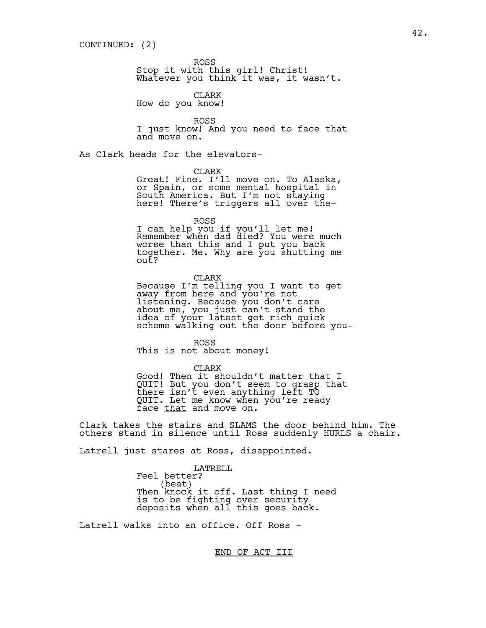ROSS

Stop it with this girl! Christ! Whatever you think it was, it wasn't.

CLARK

How do you know!

ROSS I just know! And you need to face that and move on.

As Clark heads for the elevators-

## CLARK

Great! Fine. I'll move on. To Alaska, or Spain, or some mental hospital in South America. But I'm not staying here! There's triggers all over the-

ROSS

I can help you if you'll let me! Remember when dad died? You were much worse than this and I put you back together. Me. Why are you shutting me out?

CLARK Because I'm telling you I want to get away from here and you're not listening. Because you don't care about me, you just can't stand the idea of your latest get rich quick scheme walking out the door before you-

ROSS This is not about money!

CLARK Good! Then it shouldn't matter that I QUIT! But you don't seem to grasp that there isn't even anything left TO QUIT. Let me know when you're ready face that and move on.

Clark takes the stairs and SLAMS the door behind him. The others stand in silence until Ross suddenly HURLS a chair.

Latrell just stares at Ross, disappointed.

LATRELL Feel better?<br>(beat) Then knock it off. Last thing I need is to be fighting over security deposits when all this goes back.

Latrell walks into an office. Off Ross -

END OF ACT III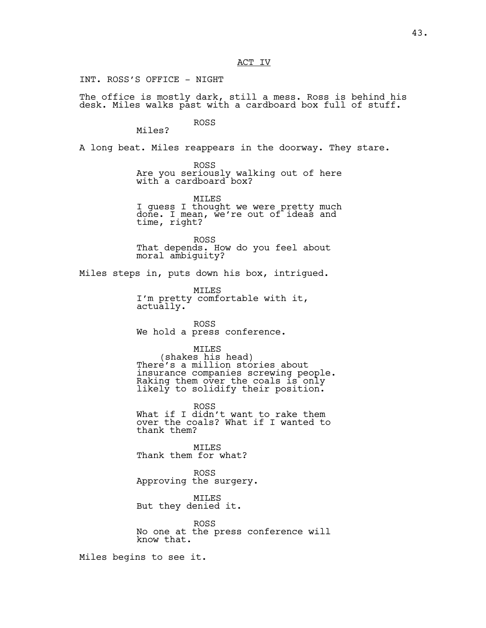INT. ROSS'S OFFICE - NIGHT

The office is mostly dark, still a mess. Ross is behind his desk. Miles walks past with a cardboard box full of stuff.

> ROSS Miles?

A long beat. Miles reappears in the doorway. They stare.

ROSS Are you seriously walking out of here with a cardboard box?

MILES I guess I thought we were pretty much done. I mean, we're out of ideas and time, right?

ROSS That depends. How do you feel about moral ambiguity?

Miles steps in, puts down his box, intrigued.

MILES I'm pretty comfortable with it, actually.

ROSS We hold a press conference.

MILES<br>(shakes his head) There's a million stories about insurance companies screwing people. Raking them over the coals is only likely to solidify their position.

ROSS What if I didn't want to rake them over the coals? What if I wanted to thank them?

MILES Thank them for what?

ROSS Approving the surgery.

MILES But they denied it.

ROSS No one at the press conference will know that.

Miles begins to see it.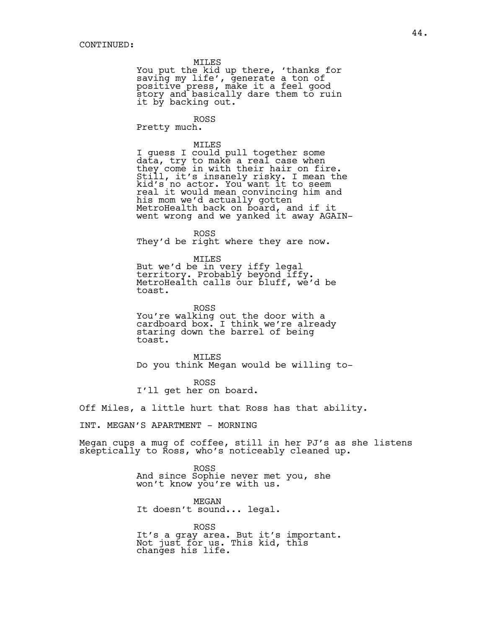MILES

You put the kid up there, 'thanks for saving my life', generate a ton of positive press, make it a feel good story and basically dare them to ruin it by backing out.

ROSS Pretty much.

MILES I guess I could pull together some data, try to make a real case when they come in with their hair on fire. Still, it's insanely risky. I mean the kid's no actor. You want it to seem real it would mean convincing him and his mom we'd actually gotten MetroHealth back on board, and if it went wrong and we yanked it away AGAIN-

ROSS They'd be right where they are now.

MILES But we'd be in very iffy legal territory. Probably beyond iffy. MetroHealth calls our bluff, we'd be toast.

ROSS You're walking out the door with a cardboard box. I think we're already staring down the barrel of being toast.

MILES Do you think Megan would be willing to-

ROSS I'll get her on board.

Off Miles, a little hurt that Ross has that ability.

INT. MEGAN'S APARTMENT - MORNING

Megan cups a mug of coffee, still in her PJ's as she listens skeptically to Ross, who's noticeably cleaned up.

> ROSS And since Sophie never met you, she won't know you're with us.

MEGAN It doesn't sound... legal.

ROSS It's a gray area. But it's important. Not just for us. This kid, this changes his life.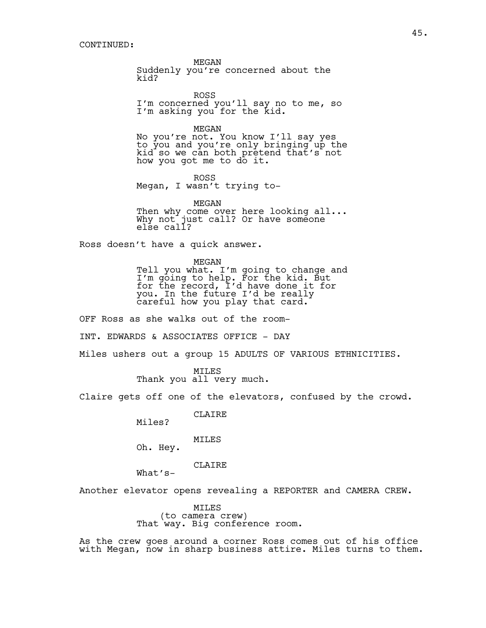MEGAN

Suddenly you're concerned about the kid?

ROSS I'm concerned you'll say no to me, so I'm asking you for the kid.

MEGAN No you're not. You know I'll say yes

to you and you're only bringing up the kid so we can both pretend that's not how you got me to do it.

ROSS Megan, I wasn't trying to-

MEGAN Then why come over here looking all... Why not just call? Or have someone else call?

Ross doesn't have a quick answer.

MEGAN Tell you what. I'm going to change and I'm going to help. For the kid. But for the record, I'd have done it for you. In the future I'd be really careful how you play that card.

OFF Ross as she walks out of the room-INT. EDWARDS & ASSOCIATES OFFICE - DAY Miles ushers out a group 15 ADULTS OF VARIOUS ETHNICITIES.

> MILES Thank you all very much.

Claire gets off one of the elevators, confused by the crowd.

CLAIRE

Miles?

MILES

Oh. Hey.

CLAIRE

What's-

Another elevator opens revealing a REPORTER and CAMERA CREW.

MILES<br>(to camera crew) That way. Big conference room.

As the crew goes around a corner Ross comes out of his office with Megan, now in sharp business attire. Miles turns to them.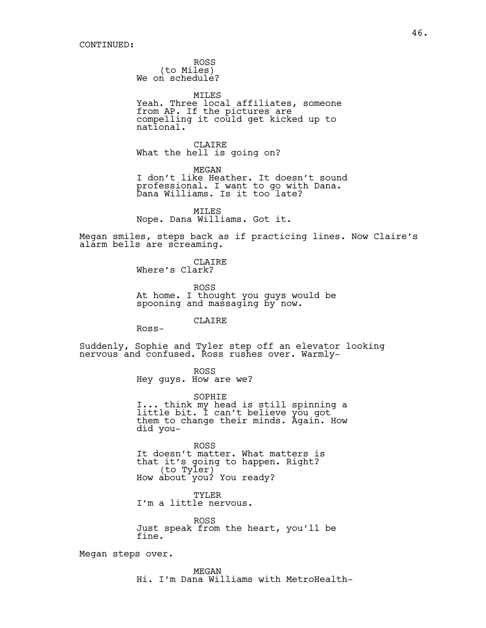ROSS<br>(to Miles) We on schedule?

MILES Yeah. Three local affiliates, someone from AP. If the pictures are compelling it could get kicked up to national.

CLAIRE What the hell is going on?

MEGAN I don't like Heather. It doesn't sound professional. I want to go with Dana. Dana Williams. Is it too late?

MILES Nope. Dana Williams. Got it.

Megan smiles, steps back as if practicing lines. Now Claire's alarm bells are screaming.

> CLAIRE Where's Clark?

ROSS At home. I thought you guys would be spooning and massaging by now.

**CLAIRE** 

Ross-

Suddenly, Sophie and Tyler step off an elevator looking nervous and confused. Ross rushes over. Warmly-

> ROSS Hey guys. How are we?

SOPHIE I... think my head is still spinning a little bit. I can't believe you got them to change their minds. Again. How did you-

ROSS It doesn't matter. What matters is that it's going to happen. Right?<br>(to Tyler) How about you? You ready?

TYLER I'm a little nervous.

ROSS Just speak from the heart, you'll be fine.

Megan steps over.

MEGAN Hi. I'm Dana Williams with MetroHealth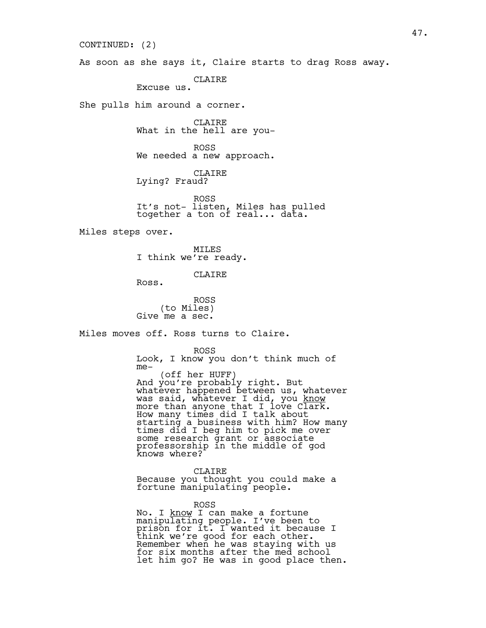As soon as she says it, Claire starts to drag Ross away. CLAIRE Excuse us. She pulls him around a corner. CLAIRE What in the hell are you-ROSS We needed a new approach. CLAIRE Lying? Fraud? ROSS It's not- listen, Miles has pulled together a ton of real... data. Miles steps over. MILES I think we're ready. CLAIRE Ross. ROSS<br>(to Miles) Give me a sec. Miles moves off. Ross turns to Claire. ROSS Look, I know you don't think much of me- (off her HUFF) And you're probably right. But whatever happened between us, whatever was said, whatever I did, you <u>know</u> more than anyone that I love C $\overline{\text{lark}}$ . How many times did I talk about starting a business with him? How many times did I beg him to pick me over some research grant or associate professorship in the middle of god knows where? CLAIRE Because you thought you could make a fortune manipulating people. CONTINUED: (2)

> ROSS No. I <u>know</u> I can make a fortune manipulating people. I've been to prison for it. I wanted it because I think we're good for each other. Remember when he was staying with us for six months after the med school let him go? He was in good place then.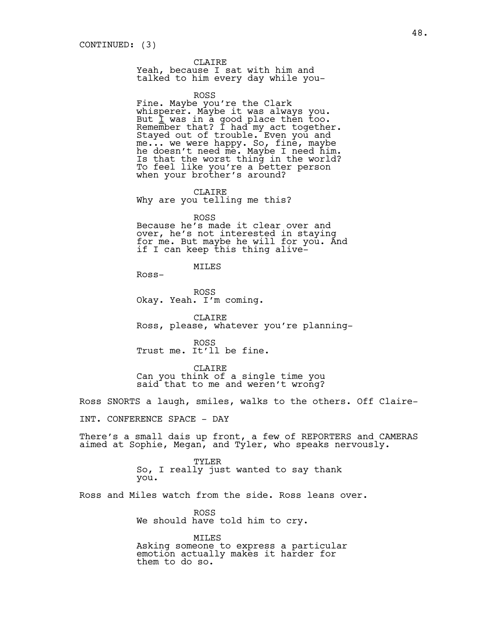## CLAIRE

Yeah, because I sat with him and talked to him every day while you-

ROSS

Fine. Maybe you're the Clark whisperer. Maybe it was always you. But  $\underline{\mathbf{i}}$  was in a good place then too. Remember that? I had my act together. Stayed out of trouble. Even you and me... we were happy. So, fine, maybe he doesn't need me. Maybe I need him. Is that the worst thing in the world? To feel like you're a better person when your brother's around?

CLAIRE Why are you telling me this?

ROSS

Because he's made it clear over and over, he's not interested in staying for me. But maybe he will for you. And if I can keep this thing alive-

# MILES

Ross-

ROSS Okay. Yeah. I'm coming.

CLAIRE Ross, please, whatever you're planning-

ROSS Trust me. It'll be fine.

CLAIRE Can you think of a single time you said that to me and weren't wrong?

Ross SNORTS a laugh, smiles, walks to the others. Off Claire-

INT. CONFERENCE SPACE - DAY

There's a small dais up front, a few of REPORTERS and CAMERAS aimed at Sophie, Megan, and Tyler, who speaks nervously.

> TYLER So, I really just wanted to say thank you.

Ross and Miles watch from the side. Ross leans over.

ROSS We should have told him to cry.

MILES Asking someone to express a particular emotion actually makes it harder for them to do so.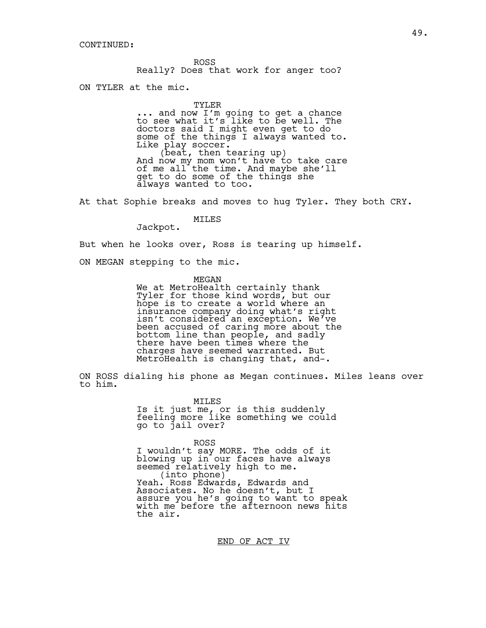ROSS Really? Does that work for anger too?

ON TYLER at the mic.

TYLER

... and now I'm going to get a chance to see what it's like to be well. The doctors said I might even get to do some of the things I always wanted to. Like play soccer.<br>
(beat, then tearing up)<br>
And now my mom won't have to take care of me all the time. And maybe she'll get to do some of the things she always wanted to too.

At that Sophie breaks and moves to hug Tyler. They both CRY.

MILES

Jackpot.

But when he looks over, Ross is tearing up himself.

ON MEGAN stepping to the mic.

MEGAN

We at MetroHealth certainly thank Tyler for those kind words, but our hope is to create a world where an insurance company doing what's right isn't considered an exception. We've been accused of caring more about the bottom line than people, and sadly there have been times where the charges have seemed warranted. But MetroHealth is changing that, and-.

ON ROSS dialing his phone as Megan continues. Miles leans over to him.

> MILES Is it just me, or is this suddenly feeling more like something we could go to jail over?

ROSS I wouldn't say MORE. The odds of it blowing up in our faces have always<br>seemed relatively high to me. seemed relatively high to me.<br>(into phone)<br>Yeah. Ross Edwards, Edwards and Associates. No he doesn't, but I assure you he's going to want to speak with me before the afternoon news hits the air.

END OF ACT IV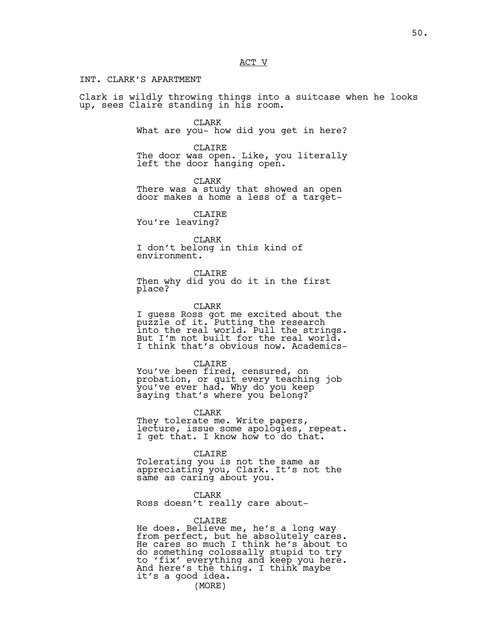ACT V

## INT. CLARK'S APARTMENT

Clark is wildly throwing things into a suitcase when he looks up, sees Claire standing in his room.

> CLARK What are you- how did you get in here?

> CLAIRE The door was open. Like, you literally left the door hanging open.

> > CLARK

There was a study that showed an open door makes a home a less of a target-

CLAIRE You're leaving?

CLARK I don't belong in this kind of environment.

CLAIRE Then why did you do it in the first place?

CLARK

I guess Ross got me excited about the puzzle of it. Putting the research into the real world. Pull the strings. But I'm not built for the real world. I think that's obvious now. Academics-

CLAIRE

You've been fired, censured, on probation, or quit every teaching job you've ever had. Why do you keep saying that's where you belong?

CLARK They tolerate me. Write papers, lecture, issue some apologies, repeat. I get that. I know how to do that.

CLAIRE Tolerating you is not the same as appreciating you, Clark. It's not the same as caring about you.

CLARK Ross doesn't really care about-

CLAIRE He does. Believe me, he's a long way from perfect, but he absolutely cares. He cares so much I think he's about to do something colossally stupid to try to 'fix' everything and keep you here. And here's the thing. I think maybe it's a good idea. (MORE)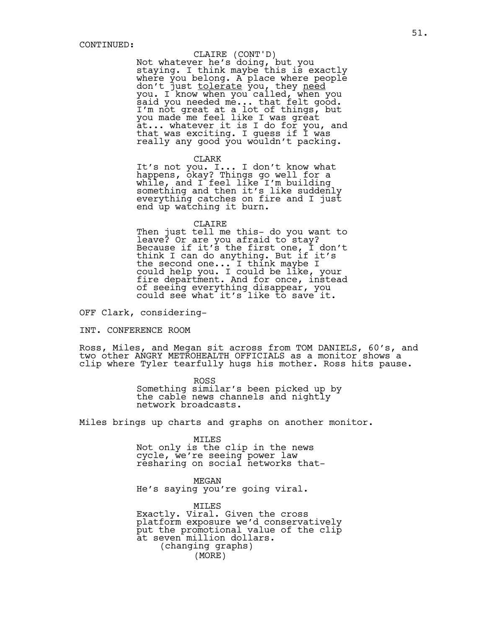# CLAIRE (CONT'D)

Not whatever he's doing, but you staying. I think maybe this is exactly where you belong. A place where people don't just <u>tolerate</u> you, they <u>need</u> you. I know when you called, when you said you needed me... that felt good. I'm not great at a lot of things, but you made me feel like I was great at... whatever it is I do for you, and that was exciting. I guess if I was really any good you wouldn't packing.

#### CLARK

It's not you. I... I don't know what happens, okay? Things go well for a while, and I feel like I'm building something and then it's like suddenly everything catches on fire and I just end up watching it burn.

#### CLAIRE

Then just tell me this- do you want to leave? Or are you afraid to stay? Because if it's the first one, I don't think I can do anything. But if it's the second one... I think maybe I could help you. I could be like, your fire department. And for once, instead of seeing everything disappear, you could see what it's like to save it.

OFF Clark, considering-

## INT. CONFERENCE ROOM

Ross, Miles, and Megan sit across from TOM DANIELS, 60's, and two other ANGRY METROHEALTH OFFICIALS as a monitor shows a clip where Tyler tearfully hugs his mother. Ross hits pause.

> ROSS Something similar's been picked up by the cable news channels and nightly network broadcasts.

Miles brings up charts and graphs on another monitor.

MILES Not only is the clip in the news cycle, we're seeing power law resharing on social networks that-

MEGAN He's saying you're going viral.

MILES Exactly. Viral. Given the cross platform exposure we'd conservatively put the promotional value of the clip at seven million dollars. (changing graphs) (MORE)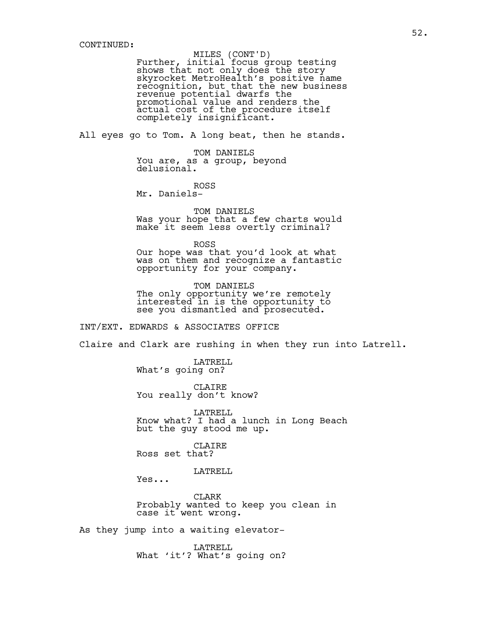# MILES (CONT'D)

Further, initial focus group testing shows that not only does the story skyrocket MetroHealth's positive name recognition, but that the new business revenue potential dwarfs the promotional value and renders the actual cost of the procedure itself completely insignificant.

All eyes go to Tom. A long beat, then he stands.

TOM DANIELS You are, as a group, beyond delusional.

ROSS Mr. Daniels-

TOM DANIELS Was your hope that a few charts would make it seem less overtly criminal?

ROSS Our hope was that you'd look at what was on them and recognize a fantastic opportunity for your company.

TOM DANIELS The only opportunity we're remotely interested in is the opportunity to see you dismantled and prosecuted.

INT/EXT. EDWARDS & ASSOCIATES OFFICE

Claire and Clark are rushing in when they run into Latrell.

LATRELL What's going on?

CLAIRE You really don't know?

LATRELL Know what? I had a lunch in Long Beach but the guy stood me up.

CLAIRE Ross set that?

LATRELL

Yes...

CLARK Probably wanted to keep you clean in case it went wrong.

As they jump into a waiting elevator-

LATRELL What 'it'? What's going on?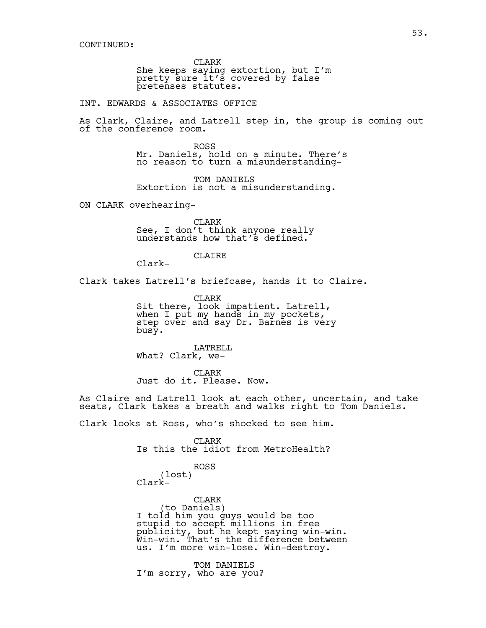CLARK She keeps saying extortion, but I'm pretty sure it's covered by false pretenses statutes.

INT. EDWARDS & ASSOCIATES OFFICE

As Clark, Claire, and Latrell step in, the group is coming out of the conference room.

> ROSS Mr. Daniels, hold on a minute. There's no reason to turn a misunderstanding-

TOM DANIELS Extortion is not a misunderstanding.

ON CLARK overhearing-

CLARK See, I don't think anyone really understands how that's defined.

CLAIRE

Clark-

Clark takes Latrell's briefcase, hands it to Claire.

CLARK Sit there, look impatient. Latrell, when I put my hands in my pockets, step over and say Dr. Barnes is very busy.

LATRELL What? Clark, we-

CLARK Just do it. Please. Now.

As Claire and Latrell look at each other, uncertain, and take seats, Clark takes a breath and walks right to Tom Daniels.

Clark looks at Ross, who's shocked to see him.

CLARK Is this the idiot from MetroHealth?

ROSS

(lost) Clark-

CLARK<br>(to Daniels) (to Daniels) I told him you guys would be too stupid to accept millions in free publicity, but he kept saying win-win. Win-win. That's the difference between us. I'm more win-lose. Win-destroy.

TOM DANIELS I'm sorry, who are you?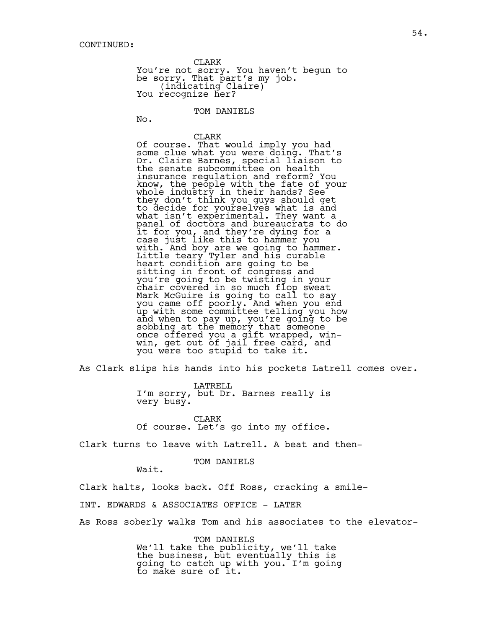CLARK You're not sorry. You haven't begun to be sorry. That part's my job.<br>(indicating Claire)<br>You recognize her?

TOM DANIELS

No.

CLARK Of course. That would imply you had some clue what you were doing. That's Dr. Claire Barnes, special liaison to the senate subcommittee on health insurance regulation and reform? You know, the people with the fate of your whole industry in their hands? See they don't think you guys should get to decide for yourselves what is and what isn't experimental. They want a panel of doctors and bureaucrats to do it for you, and they're dying for a case just like this to hammer you with. And boy are we going to hammer. Little teary Tyler and his curable heart condition are going to be sitting in front of congress and you're going to be twisting in your chair covered in so much flop sweat Mark McGuire is going to call to say you came off poorly. And when you end up with some committee telling you how and when to pay up, you're going to be sobbing at the memory that someone once offered you a gift wrapped, winwin, get out of jail free card, and you were too stupid to take it.

As Clark slips his hands into his pockets Latrell comes over.

LATRELL I'm sorry, but Dr. Barnes really is very busy.

CLARK Of course. Let's go into my office.

Clark turns to leave with Latrell. A beat and then-

## TOM DANIELS

Wait.

Clark halts, looks back. Off Ross, cracking a smile-

INT. EDWARDS & ASSOCIATES OFFICE - LATER

As Ross soberly walks Tom and his associates to the elevator-

TOM DANIELS We'll take the publicity, we'll take the business, but eventually this is going to catch up with you. I'm going to make sure of it.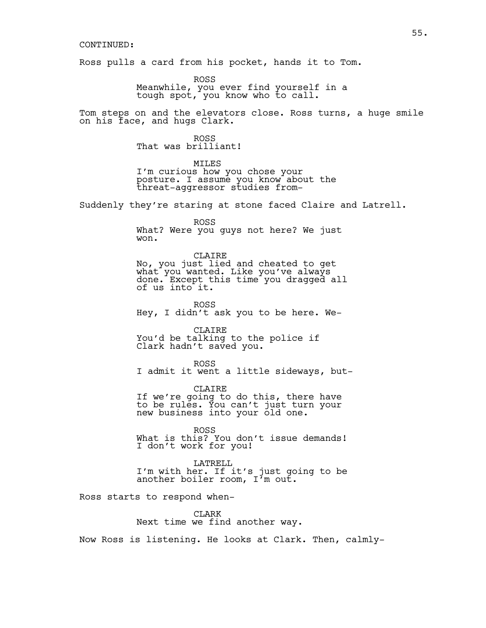## CONTINUED:

Ross pulls a card from his pocket, hands it to Tom.

ROSS Meanwhile, you ever find yourself in a tough spot, you know who to call.

Tom steps on and the elevators close. Ross turns, a huge smile on his face, and hugs Clark.

> ROSS That was brilliant!

MTT.ES I'm curious how you chose your posture. I assume you know about the threat-aggressor studies from-

Suddenly they're staring at stone faced Claire and Latrell.

ROSS What? Were you guys not here? We just won.

CLAIRE No, you just lied and cheated to get what you wanted. Like you've always done. Except this time you dragged all of us into it.

ROSS Hey, I didn't ask you to be here. We-

CLAIRE You'd be talking to the police if Clark hadn't saved you.

ROSS I admit it went a little sideways, but-

CLAIRE If we're going to do this, there have to be rules. You can't just turn your new business into your old one.

ROSS What is this? You don't issue demands! I don't work for you!

LATRELL I'm with her. If it's just going to be another boiler room, I'm out.

Ross starts to respond when-

CLARK Next time we find another way.

Now Ross is listening. He looks at Clark. Then, calmly-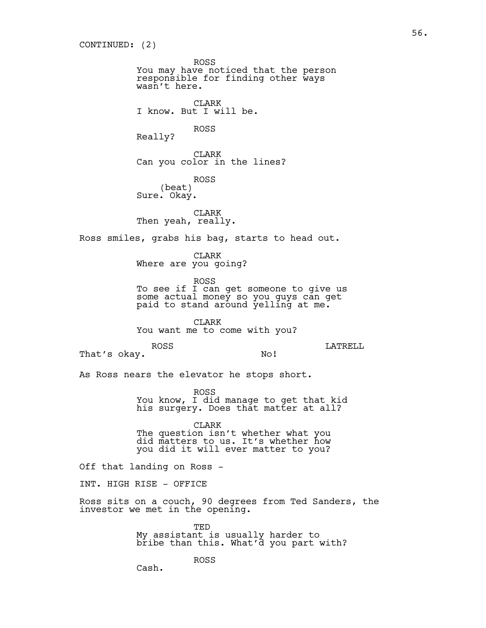ROSS You may have noticed that the person responsible for finding other ways wasn't here. CLARK I know. But I will be. ROSS Really? CLARK Can you color in the lines? ROSS (beat) Sure. Okay. CLARK Then yeah, really. Ross smiles, grabs his bag, starts to head out. CLARK Where are you going? ROSS To see if I can get someone to give us some actual money so you guys can get paid to stand around  $\frac{1}{2}$ elling at me. CLARK You want me to come with you? ROSS That's okay. LATRELL No! As Ross nears the elevator he stops short. ROSS You know, I did manage to get that kid his surgery. Does that matter at all? CLARK The question isn't whether what you did matters to us. It's whether how you did it will ever matter to you? Off that landing on Ross - INT. HIGH RISE - OFFICE Ross sits on a couch, 90 degrees from Ted Sanders, the investor we met in the opening. TED My assistant is usually harder to bribe than this. What'd you part with?

ROSS

Cash.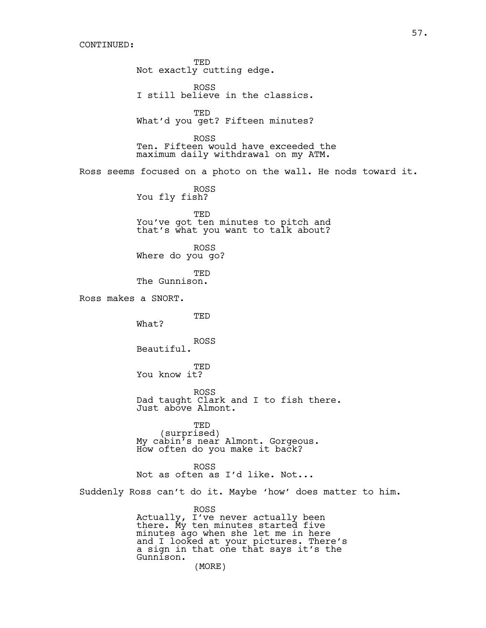## CONTINUED:

TED Not exactly cutting edge. ROSS I still believe in the classics. TED What'd you get? Fifteen minutes? ROSS Ten. Fifteen would have exceeded the maximum daily withdrawal on my ATM. Ross seems focused on a photo on the wall. He nods toward it. ROSS You fly fish? TED You've got ten minutes to pitch and that's what you want to talk about? ROSS Where do you go? TED The Gunnison. Ross makes a SNORT. TED What? ROSS Beautiful. TED You know it? ROSS Dad taught Clark and I to fish there. Just above Almont. TED<br>(surprised) (surprised) My cabin's near Almont. Gorgeous. How often do you make it back? ROSS Not as often as I'd like. Not... Suddenly Ross can't do it. Maybe 'how' does matter to him. ROSS Actually, I've never actually been there. My ten minutes started five minutes ago when she let me in here and I looked at your pictures. There's a sign in that one that says it's the Gunnison. (MORE)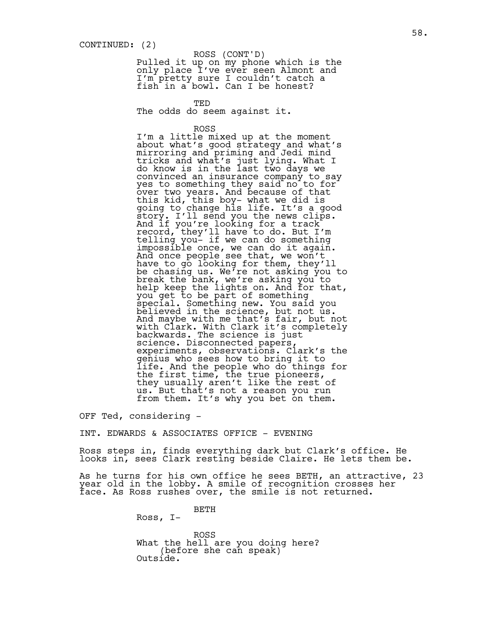# ROSS (CONT'D)

Pulled it up on my phone which is the only place I've ever seen Almont and I'm pretty sure I couldn't catch a fish in a bowl. Can I be honest?

TED The odds do seem against it.

ROSS

I'm a little mixed up at the moment about what's good strategy and what's mirroring and priming and Jedi mind tricks and what's just lying. What I do know is in the last two days we convinced an insurance company to say yes to something they said no to for over two years. And because of that this kid, this boy- what we did is going to change his life. It's a good story. I'll send you the news clips. And if you're looking for a track record, they'll have to do. But I'm telling you- if we can do something impossible once, we can do it again. And once people see that, we won't have to go looking for them, they'll be chasing us. We're not asking you to break the bank, we're asking you to help keep the lights on. And for that, you get to be part of something special. Something new. You said you believed in the science, but not  $us.$ And maybe with me that's fair, but not with Clark. With Clark it's completely backwards. The science is just science. Disconnected papers, experiments, observations. Clark's the genius who sees how to bring it to life. And the people who do things for the first time, the true pioneers, they usually aren't like the rest of us. But that's not a reason you run from them. It's why you bet on them.

OFF Ted, considering -

INT. EDWARDS & ASSOCIATES OFFICE - EVENING

Ross steps in, finds everything dark but Clark's office. He looks in, sees Clark resting beside Claire. He lets them be.

As he turns for his own office he sees BETH, an attractive, 23 year old in the lobby. A smile of recognition crosses her face. As Ross rushes over, the smile is not returned.

BETH

Ross, I-

ROSS What the hell are you doing here? (before she can speak) Outside.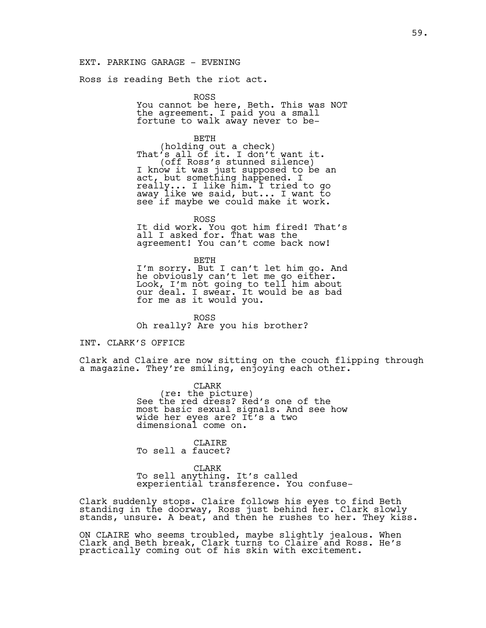## EXT. PARKING GARAGE - EVENING

Ross is reading Beth the riot act.

ROSS You cannot be here, Beth. This was NOT the agreement. I paid you a small fortune to walk away never to be-

BETH (holding out a check)<br>That's all of it. I don't want it.<br>(off Ross's stunned silence) (off Ross's stunned silence) I know it was just supposed to be an act, but something happened. I really... I like him. I tried to go away like we said, but... I want to see if maybe we could make it work.

ROSS It did work. You got him fired! That's all I asked for. That was the agreement! You can't come back now!

BETH I'm sorry. But I can't let him go. And he obviously can't let me go either. Look, I'm not going to tell him about our deal. I swear. It would be as bad for me as it would you.

ROSS Oh really? Are you his brother?

## INT. CLARK'S OFFICE

Clark and Claire are now sitting on the couch flipping through a magazine. They're smiling, enjoying each other.

> CLARK<br>(re: the picture) See the red dress? Red's one of the most basic sexual signals. And see how wide her eyes are? It's a two dimensional come on.

CLAIRE To sell a faucet?

CLARK To sell anything. It's called experiential transference. You confuse-

Clark suddenly stops. Claire follows his eyes to find Beth standing in the doorway, Ross just behind her. Clark slowly stands, unsure. A beat, and then he rushes to her. They kiss.

ON CLAIRE who seems troubled, maybe slightly jealous. When Clark and Beth break, Clark turns to Claire and Ross. He's practically coming out of his skin with excitement.